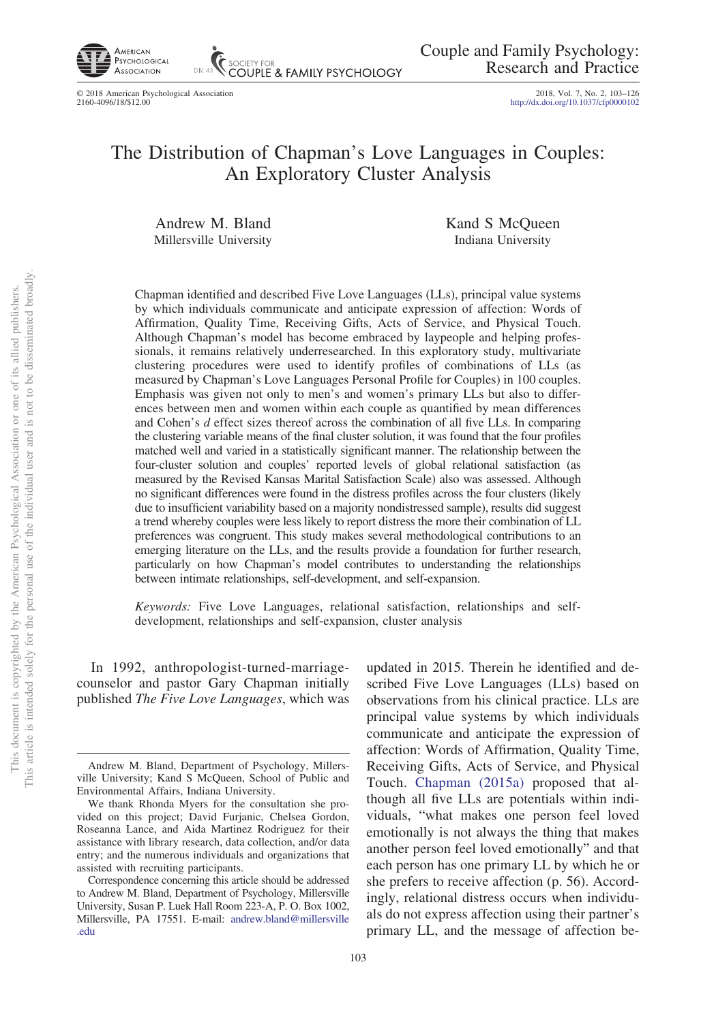

© 2018 American Psychological Association 2018, Vol. 7, No. 2, 103–126 2160-4096/18/\$12.00 http://dx.doi.org[/10.1037/cfp0000102](http://dx.doi.org/10.1037/cfp0000102)

# The Distribution of Chapman's Love Languages in Couples: An Exploratory Cluster Analysis

**COUPLE & FAMILY PSYCHOLOGY** 

Andrew M. Bland Millersville University Kand S McQueen Indiana University

Chapman identified and described Five Love Languages (LLs), principal value systems by which individuals communicate and anticipate expression of affection: Words of Affirmation, Quality Time, Receiving Gifts, Acts of Service, and Physical Touch. Although Chapman's model has become embraced by laypeople and helping professionals, it remains relatively underresearched. In this exploratory study, multivariate clustering procedures were used to identify profiles of combinations of LLs (as measured by Chapman's Love Languages Personal Profile for Couples) in 100 couples. Emphasis was given not only to men's and women's primary LLs but also to differences between men and women within each couple as quantified by mean differences and Cohen's *d* effect sizes thereof across the combination of all five LLs. In comparing the clustering variable means of the final cluster solution, it was found that the four profiles matched well and varied in a statistically significant manner. The relationship between the four-cluster solution and couples' reported levels of global relational satisfaction (as measured by the Revised Kansas Marital Satisfaction Scale) also was assessed. Although no significant differences were found in the distress profiles across the four clusters (likely due to insufficient variability based on a majority nondistressed sample), results did suggest a trend whereby couples were less likely to report distress the more their combination of LL preferences was congruent. This study makes several methodological contributions to an emerging literature on the LLs, and the results provide a foundation for further research, particularly on how Chapman's model contributes to understanding the relationships between intimate relationships, self-development, and self-expansion.

*Keywords:* Five Love Languages, relational satisfaction, relationships and selfdevelopment, relationships and self-expansion, cluster analysis

In 1992, anthropologist-turned-marriagecounselor and pastor Gary Chapman initially published *The Five Love Languages*, which was

updated in 2015. Therein he identified and described Five Love Languages (LLs) based on observations from his clinical practice. LLs are principal value systems by which individuals communicate and anticipate the expression of affection: Words of Affirmation, Quality Time, Receiving Gifts, Acts of Service, and Physical Touch. [Chapman \(2015a\)](#page-19-0) proposed that although all five LLs are potentials within individuals, "what makes one person feel loved emotionally is not always the thing that makes another person feel loved emotionally" and that each person has one primary LL by which he or she prefers to receive affection (p. 56). Accordingly, relational distress occurs when individuals do not express affection using their partner's primary LL, and the message of affection be-

Andrew M. Bland, Department of Psychology, Millersville University; Kand S McQueen, School of Public and Environmental Affairs, Indiana University.

We thank Rhonda Myers for the consultation she provided on this project; David Furjanic, Chelsea Gordon, Roseanna Lance, and Aida Martinez Rodriguez for their assistance with library research, data collection, and/or data entry; and the numerous individuals and organizations that assisted with recruiting participants.

Correspondence concerning this article should be addressed to Andrew M. Bland, Department of Psychology, Millersville University, Susan P. Luek Hall Room 223-A, P. O. Box 1002, Millersville, PA 17551. E-mail: [andrew.bland@millersville](mailto:andrew.bland@millersville.edu) [.edu](mailto:andrew.bland@millersville.edu)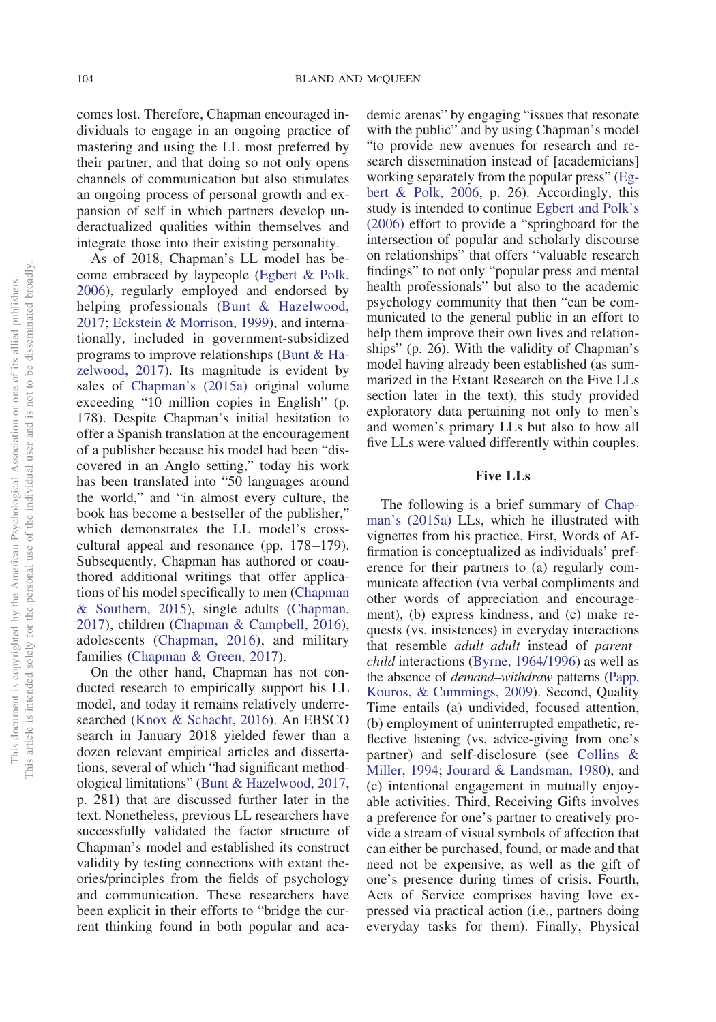comes lost. Therefore, Chapman encouraged individuals to engage in an ongoing practice of mastering and using the LL most preferred by their partner, and that doing so not only opens channels of communication but also stimulates an ongoing process of personal growth and expansion of self in which partners develop underactualized qualities within themselves and integrate those into their existing personality.

As of 2018, Chapman's LL model has become embraced by laypeople [\(Egbert & Polk,](#page-20-0) [2006\)](#page-20-0), regularly employed and endorsed by helping professionals [\(Bunt & Hazelwood,](#page-19-1) [2017;](#page-19-1) [Eckstein & Morrison, 1999\)](#page-20-1), and internationally, included in government-subsidized programs to improve relationships [\(Bunt & Ha](#page-19-1)[zelwood, 2017\)](#page-19-1). Its magnitude is evident by sales of [Chapman's \(2015a\)](#page-19-0) original volume exceeding "10 million copies in English" (p. 178). Despite Chapman's initial hesitation to offer a Spanish translation at the encouragement of a publisher because his model had been "discovered in an Anglo setting," today his work has been translated into "50 languages around the world," and "in almost every culture, the book has become a bestseller of the publisher," which demonstrates the LL model's crosscultural appeal and resonance (pp. 178–179). Subsequently, Chapman has authored or coauthored additional writings that offer applications of his model specifically to men [\(Chapman](#page-20-2) [& Southern, 2015\)](#page-20-2), single adults [\(Chapman,](#page-20-3) [2017\)](#page-20-3), children [\(Chapman & Campbell, 2016\)](#page-20-4), adolescents [\(Chapman, 2016\)](#page-19-2), and military families [\(Chapman & Green, 2017\)](#page-20-5).

On the other hand, Chapman has not conducted research to empirically support his LL model, and today it remains relatively underresearched [\(Knox & Schacht, 2016\)](#page-21-0). An EBSCO search in January 2018 yielded fewer than a dozen relevant empirical articles and dissertations, several of which "had significant methodological limitations" [\(Bunt & Hazelwood, 2017,](#page-19-1) p. 281) that are discussed further later in the text. Nonetheless, previous LL researchers have successfully validated the factor structure of Chapman's model and established its construct validity by testing connections with extant theories/principles from the fields of psychology and communication. These researchers have been explicit in their efforts to "bridge the current thinking found in both popular and academic arenas" by engaging "issues that resonate with the public" and by using Chapman's model "to provide new avenues for research and research dissemination instead of [academicians] working separately from the popular press" [\(Eg](#page-20-0)[bert & Polk, 2006,](#page-20-0) p. 26). Accordingly, this study is intended to continue [Egbert and Polk's](#page-20-0) [\(2006\)](#page-20-0) effort to provide a "springboard for the intersection of popular and scholarly discourse on relationships" that offers "valuable research findings" to not only "popular press and mental health professionals" but also to the academic psychology community that then "can be communicated to the general public in an effort to help them improve their own lives and relationships" (p. 26). With the validity of Chapman's model having already been established (as summarized in the Extant Research on the Five LLs section later in the text), this study provided exploratory data pertaining not only to men's and women's primary LLs but also to how all five LLs were valued differently within couples.

# **Five LLs**

The following is a brief summary of [Chap](#page-19-0)[man's \(2015a\)](#page-19-0) LLs, which he illustrated with vignettes from his practice. First, Words of Affirmation is conceptualized as individuals' preference for their partners to (a) regularly communicate affection (via verbal compliments and other words of appreciation and encouragement), (b) express kindness, and (c) make requests (vs. insistences) in everyday interactions that resemble *adult–adult* instead of *parent– child* interactions [\(Byrne, 1964/1996\)](#page-19-3) as well as the absence of *demand–withdraw* patterns [\(Papp,](#page-22-0) [Kouros, & Cummings, 2009\)](#page-22-0). Second, Quality Time entails (a) undivided, focused attention, (b) employment of uninterrupted empathetic, reflective listening (vs. advice-giving from one's partner) and self-disclosure (see [Collins &](#page-20-6) [Miller, 1994;](#page-20-6) [Jourard & Landsman, 1980\)](#page-21-1), and (c) intentional engagement in mutually enjoyable activities. Third, Receiving Gifts involves a preference for one's partner to creatively provide a stream of visual symbols of affection that can either be purchased, found, or made and that need not be expensive, as well as the gift of one's presence during times of crisis. Fourth, Acts of Service comprises having love expressed via practical action (i.e., partners doing everyday tasks for them). Finally, Physical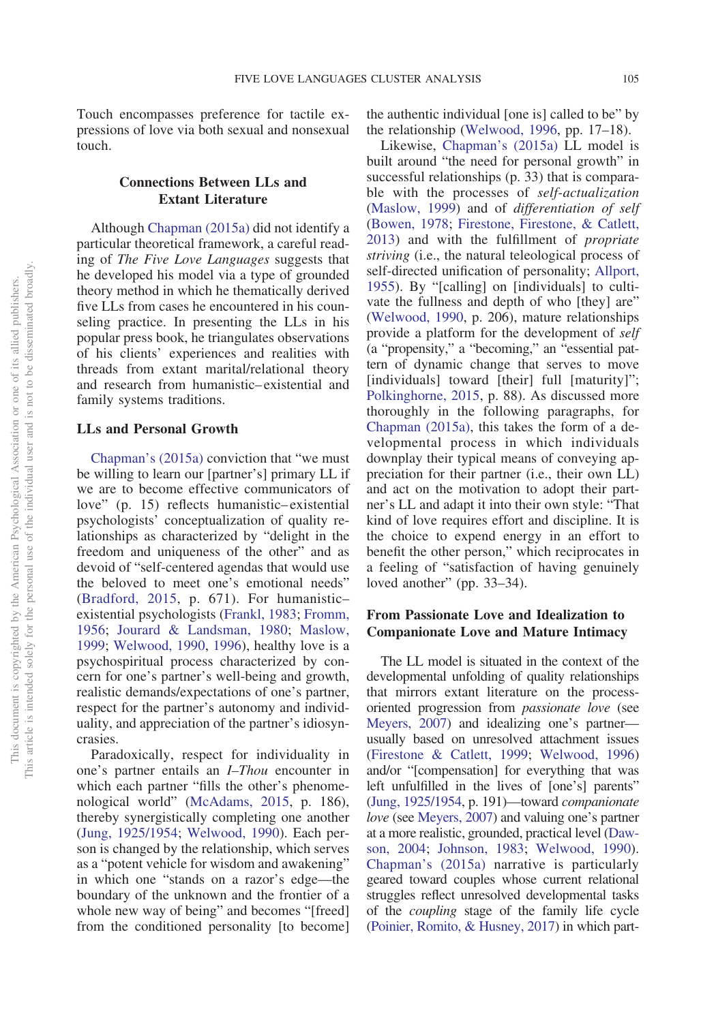Touch encompasses preference for tactile expressions of love via both sexual and nonsexual touch.

# **Connections Between LLs and Extant Literature**

Although [Chapman \(2015a\)](#page-19-0) did not identify a particular theoretical framework, a careful reading of *The Five Love Languages* suggests that he developed his model via a type of grounded theory method in which he thematically derived five LLs from cases he encountered in his counseling practice. In presenting the LLs in his popular press book, he triangulates observations of his clients' experiences and realities with threads from extant marital/relational theory and research from humanistic–existential and family systems traditions.

#### **LLs and Personal Growth**

[Chapman's \(2015a\)](#page-19-0) conviction that "we must be willing to learn our [partner's] primary LL if we are to become effective communicators of love" (p. 15) reflects humanistic–existential psychologists' conceptualization of quality relationships as characterized by "delight in the freedom and uniqueness of the other" and as devoid of "self-centered agendas that would use the beloved to meet one's emotional needs" [\(Bradford, 2015,](#page-19-4) p. 671). For humanistic– existential psychologists [\(Frankl, 1983;](#page-20-7) [Fromm,](#page-20-8) [1956;](#page-20-8) [Jourard & Landsman, 1980;](#page-21-1) [Maslow,](#page-21-2) [1999;](#page-21-2) [Welwood, 1990,](#page-23-0) [1996\)](#page-23-1), healthy love is a psychospiritual process characterized by concern for one's partner's well-being and growth, realistic demands/expectations of one's partner, respect for the partner's autonomy and individuality, and appreciation of the partner's idiosyncrasies.

Paradoxically, respect for individuality in one's partner entails an *I–Thou* encounter in which each partner "fills the other's phenomenological world" [\(McAdams, 2015,](#page-22-1) p. 186), thereby synergistically completing one another [\(Jung, 1925/1954;](#page-21-3) [Welwood, 1990\)](#page-23-0). Each person is changed by the relationship, which serves as a "potent vehicle for wisdom and awakening" in which one "stands on a razor's edge—the boundary of the unknown and the frontier of a whole new way of being" and becomes "[freed] from the conditioned personality [to become] the authentic individual [one is] called to be" by the relationship [\(Welwood, 1996,](#page-23-1) pp. 17–18).

Likewise, [Chapman's \(2015a\)](#page-19-0) LL model is built around "the need for personal growth" in successful relationships (p. 33) that is comparable with the processes of *self-actualization* [\(Maslow, 1999\)](#page-21-2) and of *differentiation of self* [\(Bowen, 1978;](#page-19-5) [Firestone, Firestone, & Catlett,](#page-20-9) [2013\)](#page-20-9) and with the fulfillment of *propriate striving* (i.e., the natural teleological process of self-directed unification of personality; [Allport,](#page-19-6) [1955\)](#page-19-6). By "[calling] on [individuals] to cultivate the fullness and depth of who [they] are" [\(Welwood, 1990,](#page-23-0) p. 206), mature relationships provide a platform for the development of *self* (a "propensity," a "becoming," an "essential pattern of dynamic change that serves to move [individuals] toward [their] full [maturity]"; [Polkinghorne, 2015,](#page-22-2) p. 88). As discussed more thoroughly in the following paragraphs, for [Chapman \(2015a\),](#page-19-0) this takes the form of a developmental process in which individuals downplay their typical means of conveying appreciation for their partner (i.e., their own LL) and act on the motivation to adopt their partner's LL and adapt it into their own style: "That kind of love requires effort and discipline. It is the choice to expend energy in an effort to benefit the other person," which reciprocates in a feeling of "satisfaction of having genuinely loved another" (pp. 33–34).

# **From Passionate Love and Idealization to Companionate Love and Mature Intimacy**

The LL model is situated in the context of the developmental unfolding of quality relationships that mirrors extant literature on the processoriented progression from *passionate love* (see [Meyers, 2007\)](#page-22-3) and idealizing one's partner usually based on unresolved attachment issues [\(Firestone & Catlett, 1999;](#page-20-10) [Welwood, 1996\)](#page-23-1) and/or "[compensation] for everything that was left unfulfilled in the lives of [one's] parents" [\(Jung, 1925/1954,](#page-21-3) p. 191)—toward *companionate love* (see [Meyers, 2007\)](#page-22-3) and valuing one's partner at a more realistic, grounded, practical level [\(Daw](#page-20-11)[son, 2004;](#page-20-11) [Johnson, 1983;](#page-21-4) [Welwood, 1990\)](#page-23-0). [Chapman's \(2015a\)](#page-19-0) narrative is particularly geared toward couples whose current relational struggles reflect unresolved developmental tasks of the *coupling* stage of the family life cycle [\(Poinier, Romito, & Husney, 2017\)](#page-22-4) in which part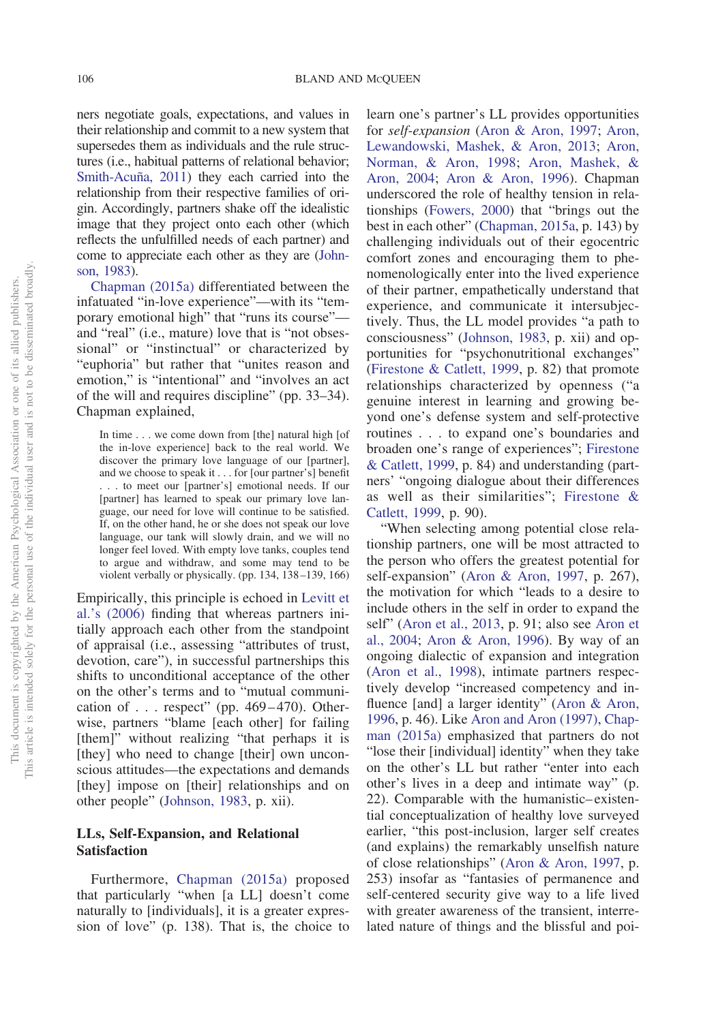ners negotiate goals, expectations, and values in their relationship and commit to a new system that supersedes them as individuals and the rule structures (i.e., habitual patterns of relational behavior; [Smith-Acuña, 2011\)](#page-23-2) they each carried into the relationship from their respective families of origin. Accordingly, partners shake off the idealistic image that they project onto each other (which reflects the unfulfilled needs of each partner) and come to appreciate each other as they are [\(John](#page-21-4)[son, 1983\)](#page-21-4).

[Chapman \(2015a\)](#page-19-0) differentiated between the infatuated "in-love experience"—with its "temporary emotional high" that "runs its course" and "real" (i.e., mature) love that is "not obsessional" or "instinctual" or characterized by "euphoria" but rather that "unites reason and emotion," is "intentional" and "involves an act of the will and requires discipline" (pp. 33–34). Chapman explained,

In time . . . we come down from [the] natural high [of the in-love experience] back to the real world. We discover the primary love language of our [partner], and we choose to speak it . . . for [our partner's] benefit . . . to meet our [partner's] emotional needs. If our [partner] has learned to speak our primary love language, our need for love will continue to be satisfied. If, on the other hand, he or she does not speak our love language, our tank will slowly drain, and we will no longer feel loved. With empty love tanks, couples tend to argue and withdraw, and some may tend to be violent verbally or physically. (pp. 134, 138–139, 166)

Empirically, this principle is echoed in [Levitt et](#page-21-5) [al.'s \(2006\)](#page-21-5) finding that whereas partners initially approach each other from the standpoint of appraisal (i.e., assessing "attributes of trust, devotion, care"), in successful partnerships this shifts to unconditional acceptance of the other on the other's terms and to "mutual communication of  $\ldots$  respect" (pp. 469–470). Otherwise, partners "blame [each other] for failing [them]" without realizing "that perhaps it is [they] who need to change [their] own unconscious attitudes—the expectations and demands [they] impose on [their] relationships and on other people" [\(Johnson, 1983,](#page-21-4) p. xii).

# **LLs, Self-Expansion, and Relational Satisfaction**

Furthermore, [Chapman \(2015a\)](#page-19-0) proposed that particularly "when [a LL] doesn't come naturally to [individuals], it is a greater expression of love" (p. 138). That is, the choice to learn one's partner's LL provides opportunities for *self-expansion* [\(Aron & Aron, 1997;](#page-19-7) [Aron,](#page-19-8) [Lewandowski, Mashek, & Aron, 2013;](#page-19-8) [Aron,](#page-19-9) [Norman, & Aron, 1998;](#page-19-9) [Aron, Mashek, &](#page-19-10) [Aron, 2004;](#page-19-10) [Aron & Aron, 1996\)](#page-19-11). Chapman underscored the role of healthy tension in relationships [\(Fowers, 2000\)](#page-20-12) that "brings out the best in each other" [\(Chapman, 2015a,](#page-19-0) p. 143) by challenging individuals out of their egocentric comfort zones and encouraging them to phenomenologically enter into the lived experience of their partner, empathetically understand that experience, and communicate it intersubjectively. Thus, the LL model provides "a path to consciousness" [\(Johnson, 1983,](#page-21-4) p. xii) and opportunities for "psychonutritional exchanges" [\(Firestone & Catlett, 1999,](#page-20-10) p. 82) that promote relationships characterized by openness ("a genuine interest in learning and growing beyond one's defense system and self-protective routines . . . to expand one's boundaries and broaden one's range of experiences"; [Firestone](#page-20-10) [& Catlett, 1999,](#page-20-10) p. 84) and understanding (partners' "ongoing dialogue about their differences as well as their similarities"; [Firestone &](#page-20-10) [Catlett, 1999,](#page-20-10) p. 90).

"When selecting among potential close relationship partners, one will be most attracted to the person who offers the greatest potential for self-expansion" [\(Aron & Aron, 1997,](#page-19-7) p. 267), the motivation for which "leads to a desire to include others in the self in order to expand the self" [\(Aron et al., 2013,](#page-19-8) p. 91; also see [Aron et](#page-19-10) [al., 2004;](#page-19-10) [Aron & Aron, 1996\)](#page-19-11). By way of an ongoing dialectic of expansion and integration [\(Aron et al., 1998\)](#page-19-9), intimate partners respectively develop "increased competency and influence [and] a larger identity" [\(Aron & Aron,](#page-19-11) [1996,](#page-19-11) p. 46). Like [Aron and Aron \(1997\),](#page-19-7) [Chap](#page-19-0)[man \(2015a\)](#page-19-0) emphasized that partners do not "lose their [individual] identity" when they take on the other's LL but rather "enter into each other's lives in a deep and intimate way" (p. 22). Comparable with the humanistic–existential conceptualization of healthy love surveyed earlier, "this post-inclusion, larger self creates (and explains) the remarkably unselfish nature of close relationships" [\(Aron & Aron, 1997,](#page-19-7) p. 253) insofar as "fantasies of permanence and self-centered security give way to a life lived with greater awareness of the transient, interrelated nature of things and the blissful and poi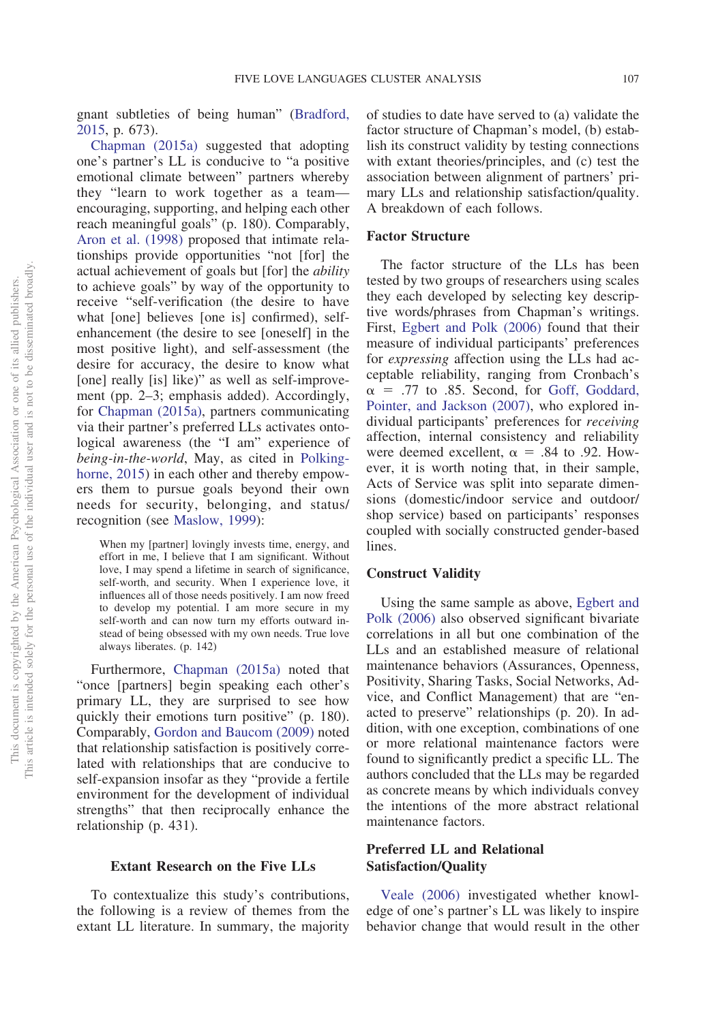gnant subtleties of being human" [\(Bradford,](#page-19-4) [2015,](#page-19-4) p. 673).

[Chapman \(2015a\)](#page-19-0) suggested that adopting one's partner's LL is conducive to "a positive emotional climate between" partners whereby they "learn to work together as a team encouraging, supporting, and helping each other reach meaningful goals" (p. 180). Comparably, [Aron et al. \(1998\)](#page-19-9) proposed that intimate relationships provide opportunities "not [for] the actual achievement of goals but [for] the *ability* to achieve goals" by way of the opportunity to receive "self-verification (the desire to have what [one] believes [one is] confirmed), selfenhancement (the desire to see [oneself] in the most positive light), and self-assessment (the desire for accuracy, the desire to know what [one] really [is] like)" as well as self-improvement (pp. 2–3; emphasis added). Accordingly, for [Chapman \(2015a\),](#page-19-0) partners communicating via their partner's preferred LLs activates ontological awareness (the "I am" experience of *being-in-the-world*, May, as cited in [Polking](#page-22-2)[horne, 2015\)](#page-22-2) in each other and thereby empowers them to pursue goals beyond their own needs for security, belonging, and status/ recognition (see [Maslow, 1999\)](#page-21-2):

When my [partner] lovingly invests time, energy, and effort in me, I believe that I am significant. Without love, I may spend a lifetime in search of significance, self-worth, and security. When I experience love, it influences all of those needs positively. I am now freed to develop my potential. I am more secure in my self-worth and can now turn my efforts outward instead of being obsessed with my own needs. True love always liberates. (p. 142)

Furthermore, [Chapman \(2015a\)](#page-19-0) noted that "once [partners] begin speaking each other's primary LL, they are surprised to see how quickly their emotions turn positive" (p. 180). Comparably, [Gordon and Baucom \(2009\)](#page-21-6) noted that relationship satisfaction is positively correlated with relationships that are conducive to self-expansion insofar as they "provide a fertile environment for the development of individual strengths" that then reciprocally enhance the relationship (p. 431).

#### **Extant Research on the Five LLs**

To contextualize this study's contributions, the following is a review of themes from the extant LL literature. In summary, the majority of studies to date have served to (a) validate the factor structure of Chapman's model, (b) establish its construct validity by testing connections with extant theories/principles, and (c) test the association between alignment of partners' primary LLs and relationship satisfaction/quality. A breakdown of each follows.

# **Factor Structure**

The factor structure of the LLs has been tested by two groups of researchers using scales they each developed by selecting key descriptive words/phrases from Chapman's writings. First, [Egbert and Polk \(2006\)](#page-20-0) found that their measure of individual participants' preferences for *expressing* affection using the LLs had acceptable reliability, ranging from Cronbach's  $\alpha$  = .77 to .85. Second, for [Goff, Goddard,](#page-20-13) [Pointer, and Jackson \(2007\),](#page-20-13) who explored individual participants' preferences for *receiving* affection, internal consistency and reliability were deemed excellent,  $\alpha = .84$  to .92. However, it is worth noting that, in their sample, Acts of Service was split into separate dimensions (domestic/indoor service and outdoor/ shop service) based on participants' responses coupled with socially constructed gender-based lines.

## **Construct Validity**

Using the same sample as above, [Egbert and](#page-20-0) [Polk \(2006\)](#page-20-0) also observed significant bivariate correlations in all but one combination of the LLs and an established measure of relational maintenance behaviors (Assurances, Openness, Positivity, Sharing Tasks, Social Networks, Advice, and Conflict Management) that are "enacted to preserve" relationships (p. 20). In addition, with one exception, combinations of one or more relational maintenance factors were found to significantly predict a specific LL. The authors concluded that the LLs may be regarded as concrete means by which individuals convey the intentions of the more abstract relational maintenance factors.

# **Preferred LL and Relational Satisfaction/Quality**

[Veale \(2006\)](#page-23-3) investigated whether knowledge of one's partner's LL was likely to inspire behavior change that would result in the other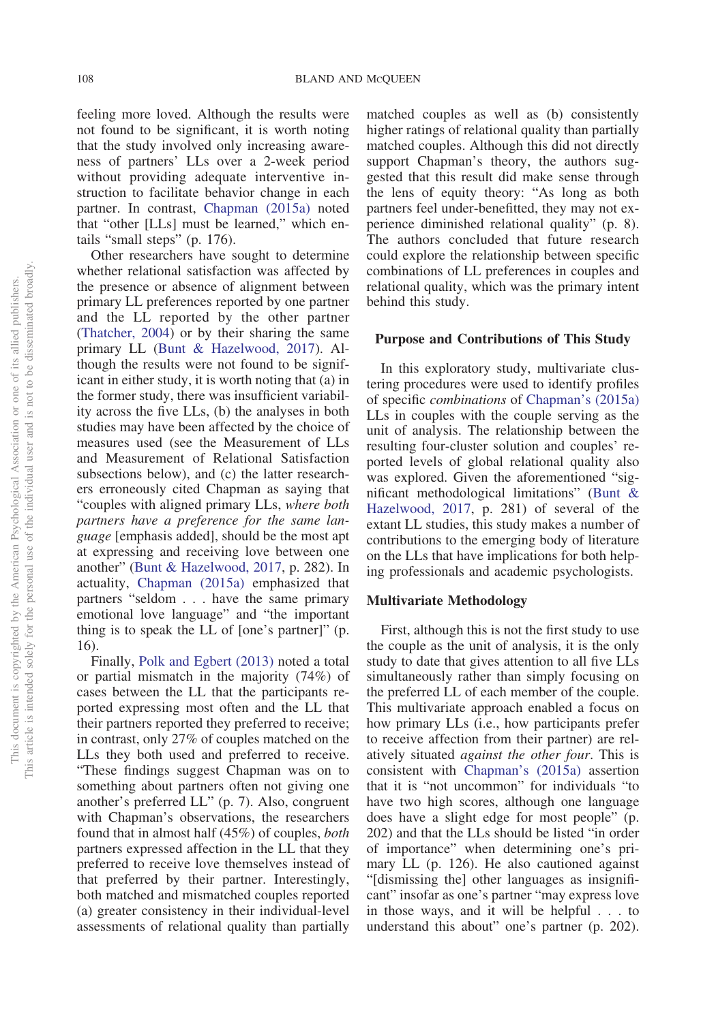feeling more loved. Although the results were not found to be significant, it is worth noting that the study involved only increasing awareness of partners' LLs over a 2-week period without providing adequate interventive instruction to facilitate behavior change in each partner. In contrast, [Chapman \(2015a\)](#page-19-0) noted that "other [LLs] must be learned," which entails "small steps" (p. 176).

Other researchers have sought to determine whether relational satisfaction was affected by the presence or absence of alignment between primary LL preferences reported by one partner and the LL reported by the other partner [\(Thatcher, 2004\)](#page-23-4) or by their sharing the same primary LL [\(Bunt & Hazelwood, 2017\)](#page-19-1). Although the results were not found to be significant in either study, it is worth noting that (a) in the former study, there was insufficient variability across the five LLs, (b) the analyses in both studies may have been affected by the choice of measures used (see the Measurement of LLs and Measurement of Relational Satisfaction subsections below), and (c) the latter researchers erroneously cited Chapman as saying that "couples with aligned primary LLs, *where both partners have a preference for the same language* [emphasis added], should be the most apt at expressing and receiving love between one another" [\(Bunt & Hazelwood, 2017,](#page-19-1) p. 282). In actuality, [Chapman \(2015a\)](#page-19-0) emphasized that partners "seldom... have the same primary emotional love language" and "the important thing is to speak the LL of [one's partner]" (p. 16).

Finally, [Polk and Egbert \(2013\)](#page-22-5) noted a total or partial mismatch in the majority (74%) of cases between the LL that the participants reported expressing most often and the LL that their partners reported they preferred to receive; in contrast, only 27% of couples matched on the LLs they both used and preferred to receive. "These findings suggest Chapman was on to something about partners often not giving one another's preferred LL" (p. 7). Also, congruent with Chapman's observations, the researchers found that in almost half (45%) of couples, *both* partners expressed affection in the LL that they preferred to receive love themselves instead of that preferred by their partner. Interestingly, both matched and mismatched couples reported (a) greater consistency in their individual-level assessments of relational quality than partially

matched couples as well as (b) consistently higher ratings of relational quality than partially matched couples. Although this did not directly support Chapman's theory, the authors suggested that this result did make sense through the lens of equity theory: "As long as both partners feel under-benefitted, they may not experience diminished relational quality" (p. 8). The authors concluded that future research could explore the relationship between specific combinations of LL preferences in couples and relational quality, which was the primary intent behind this study.

#### **Purpose and Contributions of This Study**

In this exploratory study, multivariate clustering procedures were used to identify profiles of specific *combinations* of [Chapman's \(2015a\)](#page-19-0) LLs in couples with the couple serving as the unit of analysis. The relationship between the resulting four-cluster solution and couples' reported levels of global relational quality also was explored. Given the aforementioned "significant methodological limitations" [\(Bunt &](#page-19-1) [Hazelwood, 2017,](#page-19-1) p. 281) of several of the extant LL studies, this study makes a number of contributions to the emerging body of literature on the LLs that have implications for both helping professionals and academic psychologists.

#### **Multivariate Methodology**

First, although this is not the first study to use the couple as the unit of analysis, it is the only study to date that gives attention to all five LLs simultaneously rather than simply focusing on the preferred LL of each member of the couple. This multivariate approach enabled a focus on how primary LLs (i.e., how participants prefer to receive affection from their partner) are relatively situated *against the other four*. This is consistent with [Chapman's \(2015a\)](#page-19-0) assertion that it is "not uncommon" for individuals "to have two high scores, although one language does have a slight edge for most people" (p. 202) and that the LLs should be listed "in order of importance" when determining one's primary LL (p. 126). He also cautioned against "[dismissing the] other languages as insignificant" insofar as one's partner "may express love in those ways, and it will be helpful . . . to understand this about" one's partner (p. 202).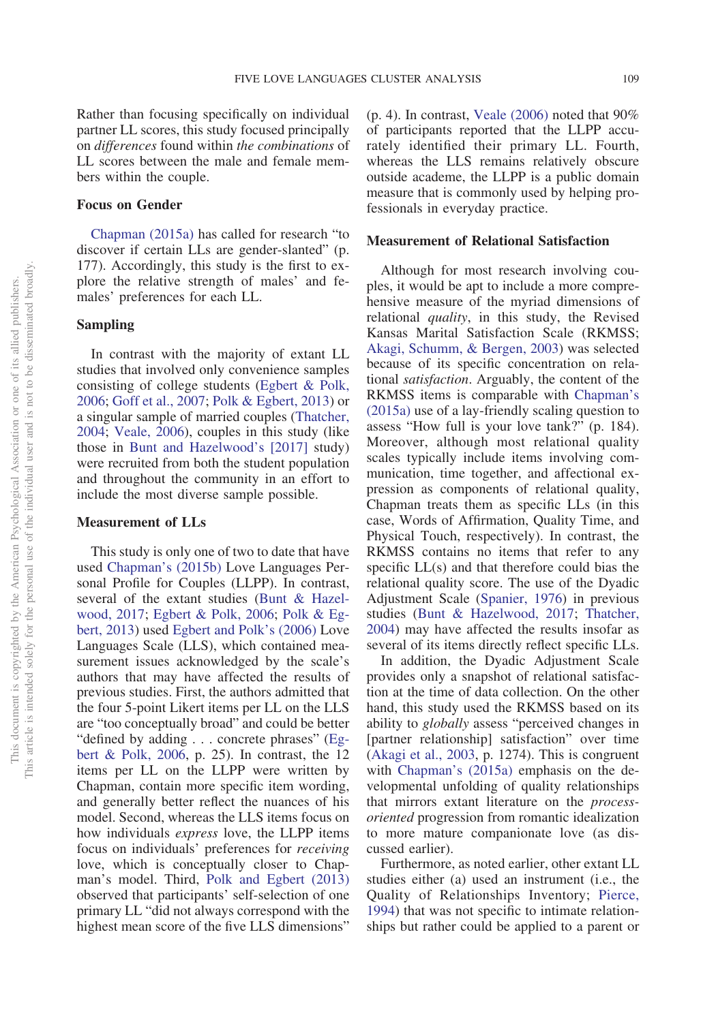Rather than focusing specifically on individual partner LL scores, this study focused principally on *differences* found within *the combinations* of LL scores between the male and female members within the couple.

#### **Focus on Gender**

[Chapman \(2015a\)](#page-19-0) has called for research "to discover if certain LLs are gender-slanted" (p. 177). Accordingly, this study is the first to explore the relative strength of males' and females' preferences for each LL.

## **Sampling**

In contrast with the majority of extant LL studies that involved only convenience samples consisting of college students [\(Egbert & Polk,](#page-20-0) [2006;](#page-20-0) [Goff et al., 2007;](#page-20-13) [Polk & Egbert, 2013\)](#page-22-5) or a singular sample of married couples [\(Thatcher,](#page-23-4) [2004;](#page-23-4) [Veale, 2006\)](#page-23-3), couples in this study (like those in [Bunt and Hazelwood's \[2017\]](#page-19-1) study) were recruited from both the student population and throughout the community in an effort to include the most diverse sample possible.

#### **Measurement of LLs**

This study is only one of two to date that have used [Chapman's \(2015b\)](#page-19-12) Love Languages Personal Profile for Couples (LLPP). In contrast, several of the extant studies [\(Bunt & Hazel](#page-19-1)[wood, 2017;](#page-19-1) [Egbert & Polk, 2006;](#page-20-0) [Polk & Eg](#page-22-5)[bert, 2013\)](#page-22-5) used [Egbert and Polk's \(2006\)](#page-20-0) Love Languages Scale (LLS), which contained measurement issues acknowledged by the scale's authors that may have affected the results of previous studies. First, the authors admitted that the four 5-point Likert items per LL on the LLS are "too conceptually broad" and could be better "defined by adding... concrete phrases" [\(Eg](#page-20-0)[bert & Polk, 2006,](#page-20-0) p. 25). In contrast, the 12 items per LL on the LLPP were written by Chapman, contain more specific item wording, and generally better reflect the nuances of his model. Second, whereas the LLS items focus on how individuals *express* love, the LLPP items focus on individuals' preferences for *receiving* love, which is conceptually closer to Chapman's model. Third, [Polk and Egbert \(2013\)](#page-22-5) observed that participants' self-selection of one primary LL "did not always correspond with the highest mean score of the five LLS dimensions"  $(p. 4)$ . In contrast, Veale  $(2006)$  noted that  $90\%$ of participants reported that the LLPP accurately identified their primary LL. Fourth, whereas the LLS remains relatively obscure outside academe, the LLPP is a public domain measure that is commonly used by helping professionals in everyday practice.

#### **Measurement of Relational Satisfaction**

Although for most research involving couples, it would be apt to include a more comprehensive measure of the myriad dimensions of relational *quality*, in this study, the Revised Kansas Marital Satisfaction Scale (RKMSS; [Akagi, Schumm, & Bergen, 2003\)](#page-19-13) was selected because of its specific concentration on relational *satisfaction*. Arguably, the content of the RKMSS items is comparable with [Chapman's](#page-19-0) [\(2015a\)](#page-19-0) use of a lay-friendly scaling question to assess "How full is your love tank?" (p. 184). Moreover, although most relational quality scales typically include items involving communication, time together, and affectional expression as components of relational quality, Chapman treats them as specific LLs (in this case, Words of Affirmation, Quality Time, and Physical Touch, respectively). In contrast, the RKMSS contains no items that refer to any specific LL(s) and that therefore could bias the relational quality score. The use of the Dyadic Adjustment Scale [\(Spanier, 1976\)](#page-23-5) in previous studies [\(Bunt & Hazelwood, 2017;](#page-19-1) [Thatcher,](#page-23-4) [2004\)](#page-23-4) may have affected the results insofar as several of its items directly reflect specific LLs.

In addition, the Dyadic Adjustment Scale provides only a snapshot of relational satisfaction at the time of data collection. On the other hand, this study used the RKMSS based on its ability to *globally* assess "perceived changes in [partner relationship] satisfaction" over time [\(Akagi et al., 2003,](#page-19-13) p. 1274). This is congruent with [Chapman's \(2015a\)](#page-19-0) emphasis on the developmental unfolding of quality relationships that mirrors extant literature on the *processoriented* progression from romantic idealization to more mature companionate love (as discussed earlier).

Furthermore, as noted earlier, other extant LL studies either (a) used an instrument (i.e., the Quality of Relationships Inventory; [Pierce,](#page-22-6) [1994\)](#page-22-6) that was not specific to intimate relationships but rather could be applied to a parent or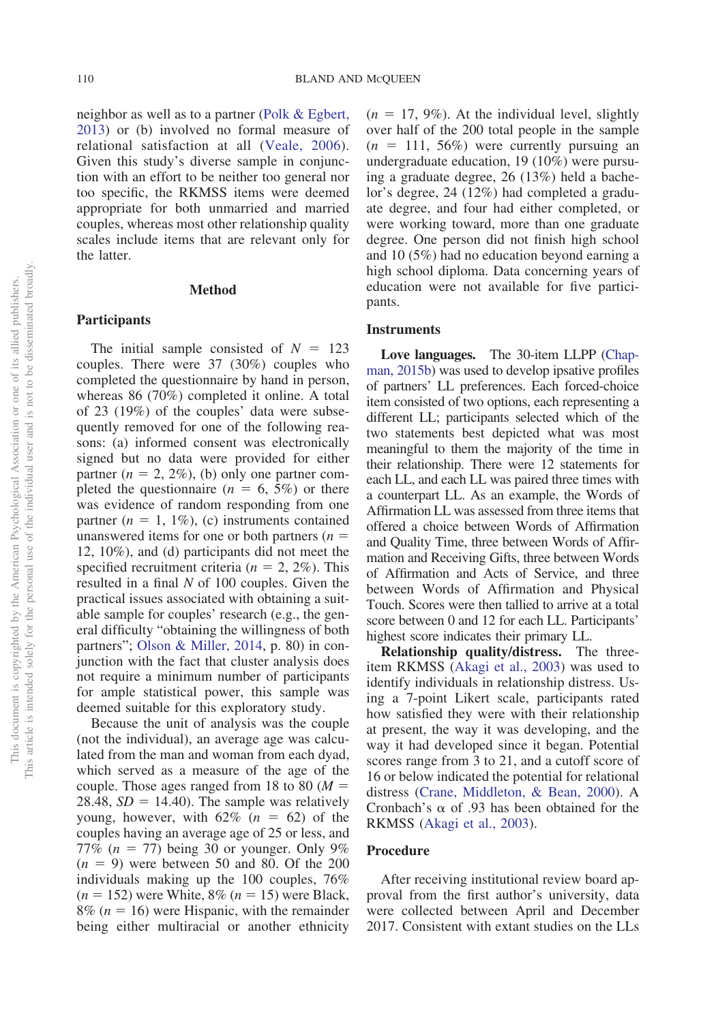neighbor as well as to a partner [\(Polk & Egbert,](#page-22-5) [2013\)](#page-22-5) or (b) involved no formal measure of relational satisfaction at all [\(Veale, 2006\)](#page-23-3). Given this study's diverse sample in conjunction with an effort to be neither too general nor too specific, the RKMSS items were deemed appropriate for both unmarried and married couples, whereas most other relationship quality scales include items that are relevant only for the latter.

### **Method**

# **Participants**

The initial sample consisted of  $N = 123$ couples. There were 37 (30%) couples who completed the questionnaire by hand in person, whereas 86 (70%) completed it online. A total of 23 (19%) of the couples' data were subsequently removed for one of the following reasons: (a) informed consent was electronically signed but no data were provided for either partner  $(n = 2, 2\%)$ , (b) only one partner completed the questionnaire  $(n = 6, 5\%)$  or there was evidence of random responding from one partner  $(n = 1, 1\%)$ , (c) instruments contained unanswered items for one or both partners (*n* 12, 10%), and (d) participants did not meet the specified recruitment criteria ( $n = 2, 2\%$ ). This resulted in a final *N* of 100 couples. Given the practical issues associated with obtaining a suitable sample for couples' research (e.g., the general difficulty "obtaining the willingness of both partners"; [Olson & Miller, 2014,](#page-22-7) p. 80) in conjunction with the fact that cluster analysis does not require a minimum number of participants for ample statistical power, this sample was deemed suitable for this exploratory study.

Because the unit of analysis was the couple (not the individual), an average age was calculated from the man and woman from each dyad, which served as a measure of the age of the couple. Those ages ranged from 18 to 80 (*M* 28.48,  $SD = 14.40$ ). The sample was relatively young, however, with  $62\%$  ( $n = 62$ ) of the couples having an average age of 25 or less, and 77% ( $n = 77$ ) being 30 or younger. Only 9%  $(n = 9)$  were between 50 and 80. Of the 200 individuals making up the 100 couples, 76%  $(n = 152)$  were White, 8%  $(n = 15)$  were Black,  $8\%$  ( $n = 16$ ) were Hispanic, with the remainder being either multiracial or another ethnicity  $(n = 17, 9\%)$ . At the individual level, slightly over half of the 200 total people in the sample  $(n = 111, 56\%)$  were currently pursuing an undergraduate education, 19 (10%) were pursuing a graduate degree, 26 (13%) held a bachelor's degree, 24 (12%) had completed a graduate degree, and four had either completed, or were working toward, more than one graduate degree. One person did not finish high school and 10 (5%) had no education beyond earning a high school diploma. Data concerning years of education were not available for five participants.

#### **Instruments**

**Love languages.** The 30-item LLPP [\(Chap](#page-19-12)[man, 2015b\)](#page-19-12) was used to develop ipsative profiles of partners' LL preferences. Each forced-choice item consisted of two options, each representing a different LL; participants selected which of the two statements best depicted what was most meaningful to them the majority of the time in their relationship. There were 12 statements for each LL, and each LL was paired three times with a counterpart LL. As an example, the Words of Affirmation LL was assessed from three items that offered a choice between Words of Affirmation and Quality Time, three between Words of Affirmation and Receiving Gifts, three between Words of Affirmation and Acts of Service, and three between Words of Affirmation and Physical Touch. Scores were then tallied to arrive at a total score between 0 and 12 for each LL. Participants' highest score indicates their primary LL.

**Relationship quality/distress.** The threeitem RKMSS [\(Akagi et al., 2003\)](#page-19-13) was used to identify individuals in relationship distress. Using a 7-point Likert scale, participants rated how satisfied they were with their relationship at present, the way it was developing, and the way it had developed since it began. Potential scores range from 3 to 21, and a cutoff score of 16 or below indicated the potential for relational distress [\(Crane, Middleton, & Bean, 2000\)](#page-20-14). A Cronbach's  $\alpha$  of .93 has been obtained for the RKMSS [\(Akagi et al., 2003\)](#page-19-13).

#### **Procedure**

After receiving institutional review board approval from the first author's university, data were collected between April and December 2017. Consistent with extant studies on the LLs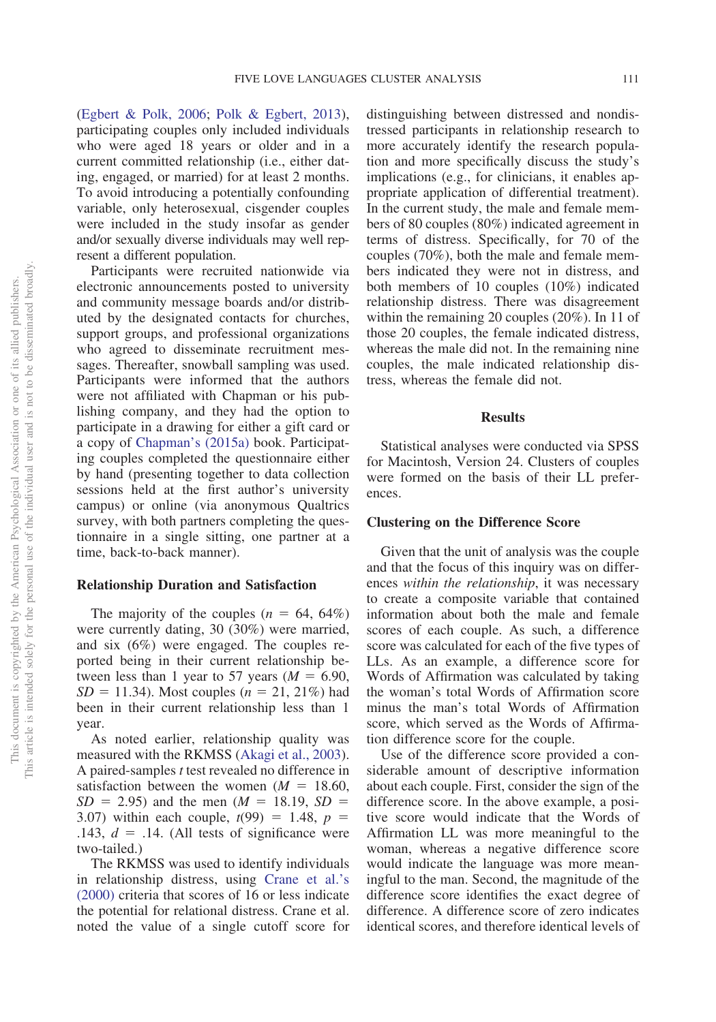[\(Egbert & Polk, 2006;](#page-20-0) [Polk & Egbert, 2013\)](#page-22-5), participating couples only included individuals who were aged 18 years or older and in a current committed relationship (i.e., either dating, engaged, or married) for at least 2 months. To avoid introducing a potentially confounding variable, only heterosexual, cisgender couples were included in the study insofar as gender and/or sexually diverse individuals may well represent a different population.

Participants were recruited nationwide via electronic announcements posted to university and community message boards and/or distributed by the designated contacts for churches, support groups, and professional organizations who agreed to disseminate recruitment messages. Thereafter, snowball sampling was used. Participants were informed that the authors were not affiliated with Chapman or his publishing company, and they had the option to participate in a drawing for either a gift card or a copy of [Chapman's \(2015a\)](#page-19-0) book. Participating couples completed the questionnaire either by hand (presenting together to data collection sessions held at the first author's university campus) or online (via anonymous Qualtrics survey, with both partners completing the questionnaire in a single sitting, one partner at a time, back-to-back manner).

#### **Relationship Duration and Satisfaction**

The majority of the couples  $(n = 64, 64\%)$ were currently dating, 30 (30%) were married, and six (6%) were engaged. The couples reported being in their current relationship between less than 1 year to 57 years  $(M = 6.90,$  $SD = 11.34$ . Most couples ( $n = 21, 21\%$ ) had been in their current relationship less than 1 year.

As noted earlier, relationship quality was measured with the RKMSS [\(Akagi et al., 2003\)](#page-19-13). A paired-samples *t* test revealed no difference in satisfaction between the women  $(M = 18.60,$  $SD = 2.95$ ) and the men ( $M = 18.19$ ,  $SD =$ 3.07) within each couple,  $t(99) = 1.48$ ,  $p =$ .143,  $d = .14$ . (All tests of significance were two-tailed.)

The RKMSS was used to identify individuals in relationship distress, using [Crane et al.'s](#page-20-14) [\(2000\)](#page-20-14) criteria that scores of 16 or less indicate the potential for relational distress. Crane et al. noted the value of a single cutoff score for distinguishing between distressed and nondistressed participants in relationship research to more accurately identify the research population and more specifically discuss the study's implications (e.g., for clinicians, it enables appropriate application of differential treatment). In the current study, the male and female members of 80 couples (80%) indicated agreement in terms of distress. Specifically, for 70 of the couples (70%), both the male and female members indicated they were not in distress, and both members of 10 couples (10%) indicated relationship distress. There was disagreement within the remaining 20 couples (20%). In 11 of those 20 couples, the female indicated distress, whereas the male did not. In the remaining nine couples, the male indicated relationship distress, whereas the female did not.

### **Results**

Statistical analyses were conducted via SPSS for Macintosh, Version 24. Clusters of couples were formed on the basis of their LL preferences.

#### **Clustering on the Difference Score**

Given that the unit of analysis was the couple and that the focus of this inquiry was on differences *within the relationship*, it was necessary to create a composite variable that contained information about both the male and female scores of each couple. As such, a difference score was calculated for each of the five types of LLs. As an example, a difference score for Words of Affirmation was calculated by taking the woman's total Words of Affirmation score minus the man's total Words of Affirmation score, which served as the Words of Affirmation difference score for the couple.

Use of the difference score provided a considerable amount of descriptive information about each couple. First, consider the sign of the difference score. In the above example, a positive score would indicate that the Words of Affirmation LL was more meaningful to the woman, whereas a negative difference score would indicate the language was more meaningful to the man. Second, the magnitude of the difference score identifies the exact degree of difference. A difference score of zero indicates identical scores, and therefore identical levels of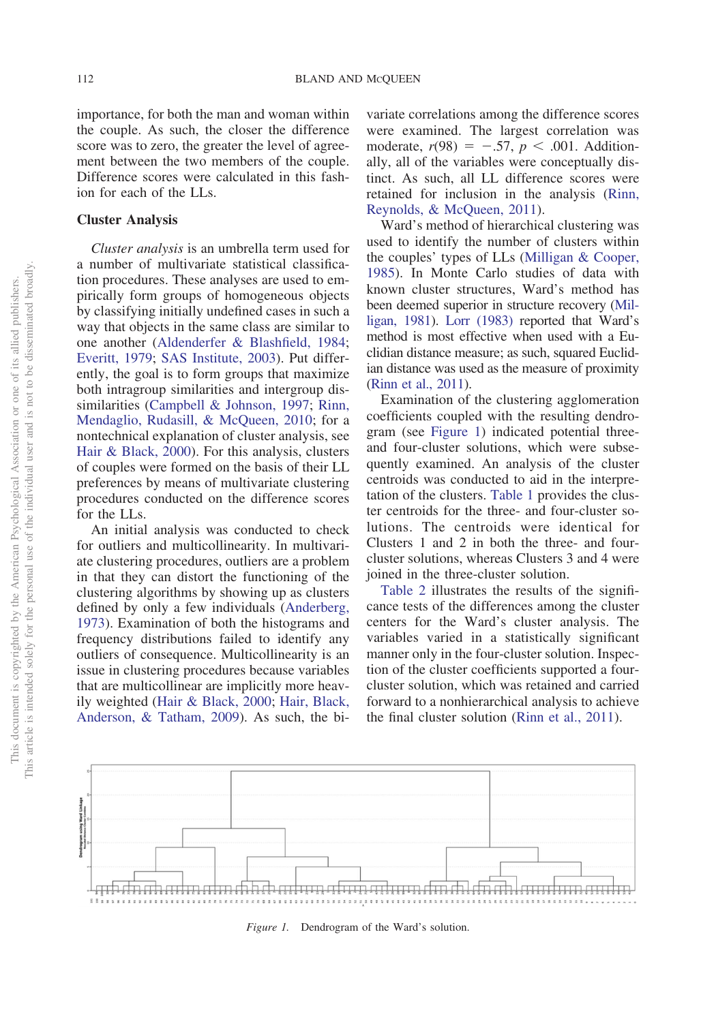importance, for both the man and woman within the couple. As such, the closer the difference score was to zero, the greater the level of agreement between the two members of the couple. Difference scores were calculated in this fashion for each of the LLs.

#### **Cluster Analysis**

*Cluster analysis* is an umbrella term used for a number of multivariate statistical classification procedures. These analyses are used to empirically form groups of homogeneous objects by classifying initially undefined cases in such a way that objects in the same class are similar to one another [\(Aldenderfer & Blashfield, 1984;](#page-19-14) [Everitt, 1979;](#page-20-15) [SAS Institute, 2003\)](#page-22-8). Put differently, the goal is to form groups that maximize both intragroup similarities and intergroup dissimilarities [\(Campbell & Johnson, 1997;](#page-19-15) [Rinn,](#page-22-9) [Mendaglio, Rudasill, & McQueen, 2010;](#page-22-9) for a nontechnical explanation of cluster analysis, see [Hair & Black, 2000\)](#page-21-7). For this analysis, clusters of couples were formed on the basis of their LL preferences by means of multivariate clustering procedures conducted on the difference scores for the LLs.

An initial analysis was conducted to check for outliers and multicollinearity. In multivariate clustering procedures, outliers are a problem in that they can distort the functioning of the clustering algorithms by showing up as clusters defined by only a few individuals [\(Anderberg,](#page-19-16) [1973\)](#page-19-16). Examination of both the histograms and frequency distributions failed to identify any outliers of consequence. Multicollinearity is an issue in clustering procedures because variables that are multicollinear are implicitly more heavily weighted [\(Hair & Black, 2000;](#page-21-7) [Hair, Black,](#page-21-8) [Anderson, & Tatham, 2009\)](#page-21-8). As such, the bi-

variate correlations among the difference scores were examined. The largest correlation was moderate,  $r(98) = -.57$ ,  $p < .001$ . Additionally, all of the variables were conceptually distinct. As such, all LL difference scores were retained for inclusion in the analysis [\(Rinn,](#page-22-10) [Reynolds, & McQueen, 2011\)](#page-22-10).

Ward's method of hierarchical clustering was used to identify the number of clusters within the couples' types of LLs [\(Milligan & Cooper,](#page-22-11) [1985\)](#page-22-11). In Monte Carlo studies of data with known cluster structures, Ward's method has been deemed superior in structure recovery [\(Mil](#page-22-12)[ligan, 1981\)](#page-22-12). [Lorr \(1983\)](#page-21-9) reported that Ward's method is most effective when used with a Euclidian distance measure; as such, squared Euclidian distance was used as the measure of proximity [\(Rinn et al., 2011\)](#page-22-10).

Examination of the clustering agglomeration coefficients coupled with the resulting dendrogram (see [Figure 1\)](#page-9-0) indicated potential threeand four-cluster solutions, which were subsequently examined. An analysis of the cluster centroids was conducted to aid in the interpretation of the clusters. [Table 1](#page-10-0) provides the cluster centroids for the three- and four-cluster solutions. The centroids were identical for Clusters 1 and 2 in both the three- and fourcluster solutions, whereas Clusters 3 and 4 were joined in the three-cluster solution.

[Table 2](#page-10-1) illustrates the results of the significance tests of the differences among the cluster centers for the Ward's cluster analysis. The variables varied in a statistically significant manner only in the four-cluster solution. Inspection of the cluster coefficients supported a fourcluster solution, which was retained and carried forward to a nonhierarchical analysis to achieve the final cluster solution [\(Rinn et al., 2011\)](#page-22-10).



<span id="page-9-0"></span>*Figure 1.* Dendrogram of the Ward's solution.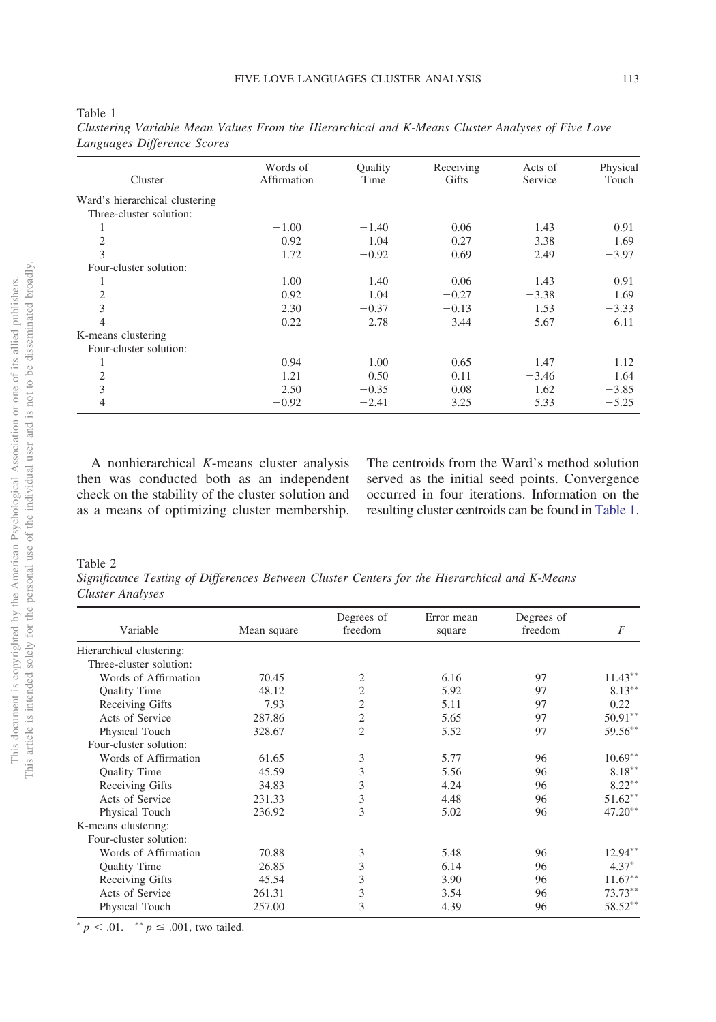| Cluster                        | Words of<br>Affirmation | Quality<br>Time | Receiving<br><b>Gifts</b> | Acts of<br>Service | Physical<br>Touch |
|--------------------------------|-------------------------|-----------------|---------------------------|--------------------|-------------------|
|                                |                         |                 |                           |                    |                   |
| Ward's hierarchical clustering |                         |                 |                           |                    |                   |
| Three-cluster solution:        |                         |                 |                           |                    |                   |
|                                | $-1.00$                 | $-1.40$         | 0.06                      | 1.43               | 0.91              |
| 2                              | 0.92                    | 1.04            | $-0.27$                   | $-3.38$            | 1.69              |
| 3                              | 1.72                    | $-0.92$         | 0.69                      | 2.49               | $-3.97$           |
| Four-cluster solution:         |                         |                 |                           |                    |                   |
|                                | $-1.00$                 | $-1.40$         | 0.06                      | 1.43               | 0.91              |
| 2                              | 0.92                    | 1.04            | $-0.27$                   | $-3.38$            | 1.69              |
| 3                              | 2.30                    | $-0.37$         | $-0.13$                   | 1.53               | $-3.33$           |
| 4                              | $-0.22$                 | $-2.78$         | 3.44                      | 5.67               | $-6.11$           |
| K-means clustering             |                         |                 |                           |                    |                   |
| Four-cluster solution:         |                         |                 |                           |                    |                   |
|                                | $-0.94$                 | $-1.00$         | $-0.65$                   | 1.47               | 1.12              |
| 2                              | 1.21                    | 0.50            | 0.11                      | $-3.46$            | 1.64              |
| 3                              | 2.50                    | $-0.35$         | 0.08                      | 1.62               | $-3.85$           |
| 4                              | $-0.92$                 | $-2.41$         | 3.25                      | 5.33               | $-5.25$           |

<span id="page-10-0"></span>Table 1 *Clustering Variable Mean Values From the Hierarchical and K-Means Cluster Analyses of Five Love Languages Difference Scores*

A nonhierarchical *K*-means cluster analysis then was conducted both as an independent check on the stability of the cluster solution and as a means of optimizing cluster membership. The centroids from the Ward's method solution served as the initial seed points. Convergence occurred in four iterations. Information on the resulting cluster centroids can be found in [Table 1.](#page-10-0)

#### <span id="page-10-1"></span>Table 2

*Significance Testing of Differences Between Cluster Centers for the Hierarchical and K-Means Cluster Analyses*

| Variable                 | Mean square | Degrees of<br>freedom | Error mean<br>square | Degrees of<br>freedom | F          |
|--------------------------|-------------|-----------------------|----------------------|-----------------------|------------|
| Hierarchical clustering: |             |                       |                      |                       |            |
| Three-cluster solution:  |             |                       |                      |                       |            |
| Words of Affirmation     | 70.45       | $\overline{2}$        | 6.16                 | 97                    | $11.43***$ |
| Quality Time             | 48.12       | $\overline{2}$        | 5.92                 | 97                    | $8.13***$  |
| Receiving Gifts          | 7.93        | $\overline{2}$        | 5.11                 | 97                    | 0.22       |
| Acts of Service          | 287.86      | $\mathfrak{2}$        | 5.65                 | 97                    | $50.91***$ |
| Physical Touch           | 328.67      | $\overline{2}$        | 5.52                 | 97                    | 59.56**    |
| Four-cluster solution:   |             |                       |                      |                       |            |
| Words of Affirmation     | 61.65       | 3                     | 5.77                 | 96                    | $10.69**$  |
| Quality Time             | 45.59       | 3                     | 5.56                 | 96                    | $8.18***$  |
| Receiving Gifts          | 34.83       | 3                     | 4.24                 | 96                    | $8.22***$  |
| Acts of Service          | 231.33      | 3                     | 4.48                 | 96                    | $51.62***$ |
| Physical Touch           | 236.92      | 3                     | 5.02                 | 96                    | $47.20**$  |
| K-means clustering:      |             |                       |                      |                       |            |
| Four-cluster solution:   |             |                       |                      |                       |            |
| Words of Affirmation     | 70.88       | 3                     | 5.48                 | 96                    | 12.94**    |
| Quality Time             | 26.85       | 3                     | 6.14                 | 96                    | $4.37*$    |
| Receiving Gifts          | 45.54       | 3                     | 3.90                 | 96                    | $11.67***$ |
| Acts of Service          | 261.31      | 3                     | 3.54                 | 96                    | 73.73**    |
| Physical Touch           | 257.00      | 3                     | 4.39                 | 96                    | 58.52**    |

 $p < .01$ . \*\*  $p \le .001$ , two tailed.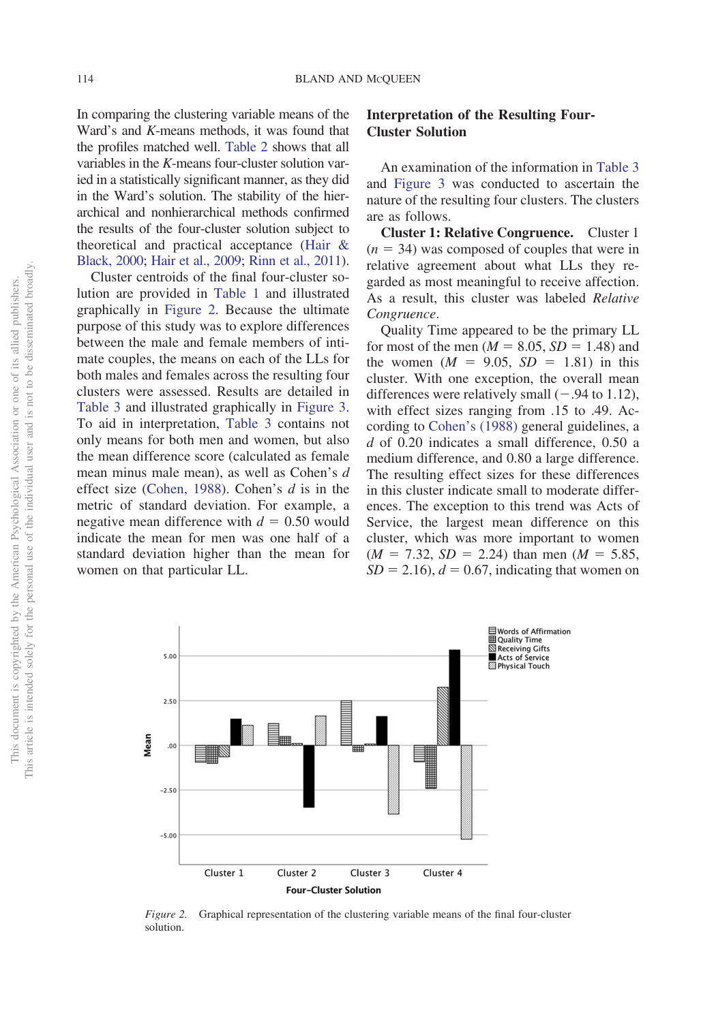In comparing the clustering variable means of the Ward's and *K*-means methods, it was found that the profiles matched well. [Table 2](#page-10-1) shows that all variables in the *K*-means four-cluster solution varied in a statistically significant manner, as they did in the Ward's solution. The stability of the hierarchical and nonhierarchical methods confirmed the results of the four-cluster solution subject to theoretical and practical acceptance [\(Hair &](#page-21-7) [Black, 2000;](#page-21-7) [Hair et al., 2009;](#page-21-8) [Rinn et al., 2011\)](#page-22-10).

Cluster centroids of the final four-cluster solution are provided in [Table 1](#page-10-0) and illustrated graphically in [Figure 2.](#page-11-0) Because the ultimate purpose of this study was to explore differences between the male and female members of intimate couples, the means on each of the LLs for both males and females across the resulting four clusters were assessed. Results are detailed in [Table 3](#page-12-0) and illustrated graphically in [Figure 3.](#page-13-0) To aid in interpretation, [Table 3](#page-12-0) contains not only means for both men and women, but also the mean difference score (calculated as female mean minus male mean), as well as Cohen's *d* effect size [\(Cohen, 1988\)](#page-20-16). Cohen's *d* is in the metric of standard deviation. For example, a negative mean difference with  $d = 0.50$  would indicate the mean for men was one half of a standard deviation higher than the mean for women on that particular LL.

# **Interpretation of the Resulting Four-Cluster Solution**

An examination of the information in [Table 3](#page-12-0) and [Figure 3](#page-13-0) was conducted to ascertain the nature of the resulting four clusters. The clusters are as follows.

**Cluster 1: Relative Congruence.** Cluster 1  $(n = 34)$  was composed of couples that were in relative agreement about what LLs they regarded as most meaningful to receive affection. As a result, this cluster was labeled *Relative Congruence*.

Quality Time appeared to be the primary LL for most of the men  $(M = 8.05, SD = 1.48)$  and the women  $(M = 9.05, SD = 1.81)$  in this cluster. With one exception, the overall mean differences were relatively small  $(-.94 \text{ to } 1.12)$ , with effect sizes ranging from .15 to .49. According to [Cohen's \(1988\)](#page-20-16) general guidelines, a *d* of 0.20 indicates a small difference, 0.50 a medium difference, and 0.80 a large difference. The resulting effect sizes for these differences in this cluster indicate small to moderate differences. The exception to this trend was Acts of Service, the largest mean difference on this cluster, which was more important to women  $(M = 7.32, SD = 2.24)$  than men  $(M = 5.85,$  $SD = 2.16$ ,  $d = 0.67$ , indicating that women on



<span id="page-11-0"></span>*Figure 2.* Graphical representation of the clustering variable means of the final four-cluster solution.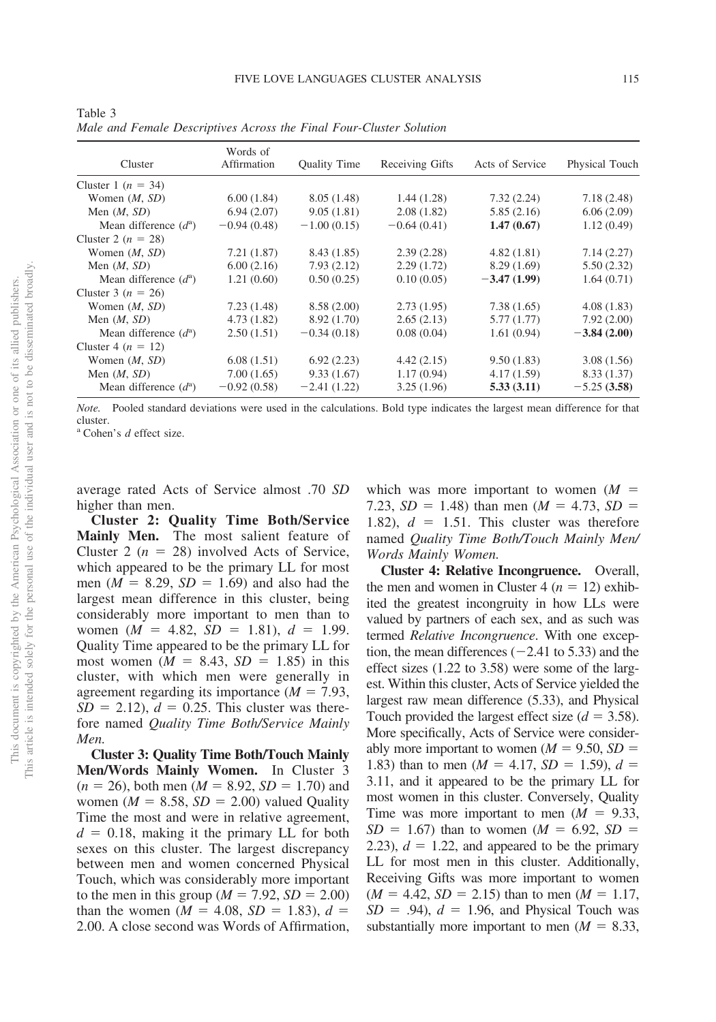|                                  | Words of      |                     |                 |                 |                |  |
|----------------------------------|---------------|---------------------|-----------------|-----------------|----------------|--|
| Cluster                          | Affirmation   | <b>Ouality Time</b> | Receiving Gifts | Acts of Service | Physical Touch |  |
| Cluster 1 $(n = 34)$             |               |                     |                 |                 |                |  |
| Women $(M, SD)$                  | 6.00(1.84)    | 8.05(1.48)          | 1.44(1.28)      | 7.32(2.24)      | 7.18(2.48)     |  |
| Men $(M, SD)$                    | 6.94(2.07)    | 9.05(1.81)          | 2.08(1.82)      | 5.85(2.16)      | 6.06(2.09)     |  |
| Mean difference $(d^a)$          | $-0.94(0.48)$ | $-1.00(0.15)$       | $-0.64(0.41)$   | 1.47(0.67)      | 1.12(0.49)     |  |
| Cluster 2 $(n = 28)$             |               |                     |                 |                 |                |  |
| Women $(M, SD)$                  | 7.21(1.87)    | 8.43(1.85)          | 2.39(2.28)      | 4.82(1.81)      | 7.14(2.27)     |  |
| Men $(M, SD)$                    | 6.00(2.16)    | 7.93(2.12)          | 2.29(1.72)      | 8.29(1.69)      | 5.50(2.32)     |  |
| Mean difference $(d^a)$          | 1.21(0.60)    | 0.50(0.25)          | 0.10(0.05)      | $-3.47(1.99)$   | 1.64(0.71)     |  |
| Cluster 3 $(n = 26)$             |               |                     |                 |                 |                |  |
| Women $(M, SD)$                  | 7.23(1.48)    | 8.58(2.00)          | 2.73(1.95)      | 7.38(1.65)      | 4.08(1.83)     |  |
| Men $(M, SD)$                    | 4.73(1.82)    | 8.92 (1.70)         | 2.65(2.13)      | 5.77(1.77)      | 7.92(2.00)     |  |
| Mean difference $(d^{\text{a}})$ | 2.50(1.51)    | $-0.34(0.18)$       | 0.08(0.04)      | 1.61(0.94)      | $-3.84(2.00)$  |  |
| Cluster 4 $(n = 12)$             |               |                     |                 |                 |                |  |
| Women $(M, SD)$                  | 6.08(1.51)    | 6.92(2.23)          | 4.42(2.15)      | 9.50(1.83)      | 3.08(1.56)     |  |
| Men $(M, SD)$                    | 7.00(1.65)    | 9.33(1.67)          | 1.17(0.94)      | 4.17(1.59)      | 8.33(1.37)     |  |
| Mean difference $(d^a)$          | $-0.92(0.58)$ | $-2.41(1.22)$       | 3.25(1.96)      | 5.33(3.11)      | $-5.25(3.58)$  |  |

<span id="page-12-0"></span>Table 3 *Male and Female Descriptives Across the Final Four-Cluster Solution*

*Note.* Pooled standard deviations were used in the calculations. Bold type indicates the largest mean difference for that cluster.

<sup>a</sup> Cohen's *d* effect size.

average rated Acts of Service almost .70 *SD* higher than men.

**Cluster 2: Quality Time Both/Service Mainly Men.** The most salient feature of Cluster 2 ( $n = 28$ ) involved Acts of Service, which appeared to be the primary LL for most men ( $M = 8.29$ ,  $SD = 1.69$ ) and also had the largest mean difference in this cluster, being considerably more important to men than to women  $(M = 4.82, SD = 1.81), d = 1.99$ . Quality Time appeared to be the primary LL for most women  $(M = 8.43, SD = 1.85)$  in this cluster, with which men were generally in agreement regarding its importance  $(M = 7.93)$ ,  $SD = 2.12$ ,  $d = 0.25$ . This cluster was therefore named *Quality Time Both/Service Mainly Men.*

**Cluster 3: Quality Time Both/Touch Mainly Men/Words Mainly Women.** In Cluster 3  $(n = 26)$ , both men  $(M = 8.92, SD = 1.70)$  and women ( $M = 8.58$ ,  $SD = 2.00$ ) valued Quality Time the most and were in relative agreement,  $d = 0.18$ , making it the primary LL for both sexes on this cluster. The largest discrepancy between men and women concerned Physical Touch, which was considerably more important to the men in this group ( $M = 7.92$ ,  $SD = 2.00$ ) than the women ( $M = 4.08$ ,  $SD = 1.83$ ),  $d =$ 2.00. A close second was Words of Affirmation, which was more important to women (*M* 7.23,  $SD = 1.48$ ) than men ( $M = 4.73$ ,  $SD =$ 1.82),  $d = 1.51$ . This cluster was therefore named *Quality Time Both/Touch Mainly Men/ Words Mainly Women.*

**Cluster 4: Relative Incongruence.** Overall, the men and women in Cluster 4 ( $n = 12$ ) exhibited the greatest incongruity in how LLs were valued by partners of each sex, and as such was termed *Relative Incongruence*. With one exception, the mean differences  $(-2.41 \text{ to } 5.33)$  and the effect sizes (1.22 to 3.58) were some of the largest. Within this cluster, Acts of Service yielded the largest raw mean difference (5.33), and Physical Touch provided the largest effect size  $(d = 3.58)$ . More specifically, Acts of Service were considerably more important to women  $(M = 9.50, SD =$ 1.83) than to men  $(M = 4.17, SD = 1.59), d =$ 3.11, and it appeared to be the primary LL for most women in this cluster. Conversely, Quality Time was more important to men  $(M = 9.33)$ ,  $SD = 1.67$ ) than to women ( $M = 6.92$ ,  $SD =$ 2.23),  $d = 1.22$ , and appeared to be the primary LL for most men in this cluster. Additionally, Receiving Gifts was more important to women  $(M = 4.42, SD = 2.15)$  than to men  $(M = 1.17,$  $SD = .94$ ,  $d = 1.96$ , and Physical Touch was substantially more important to men  $(M = 8.33)$ ,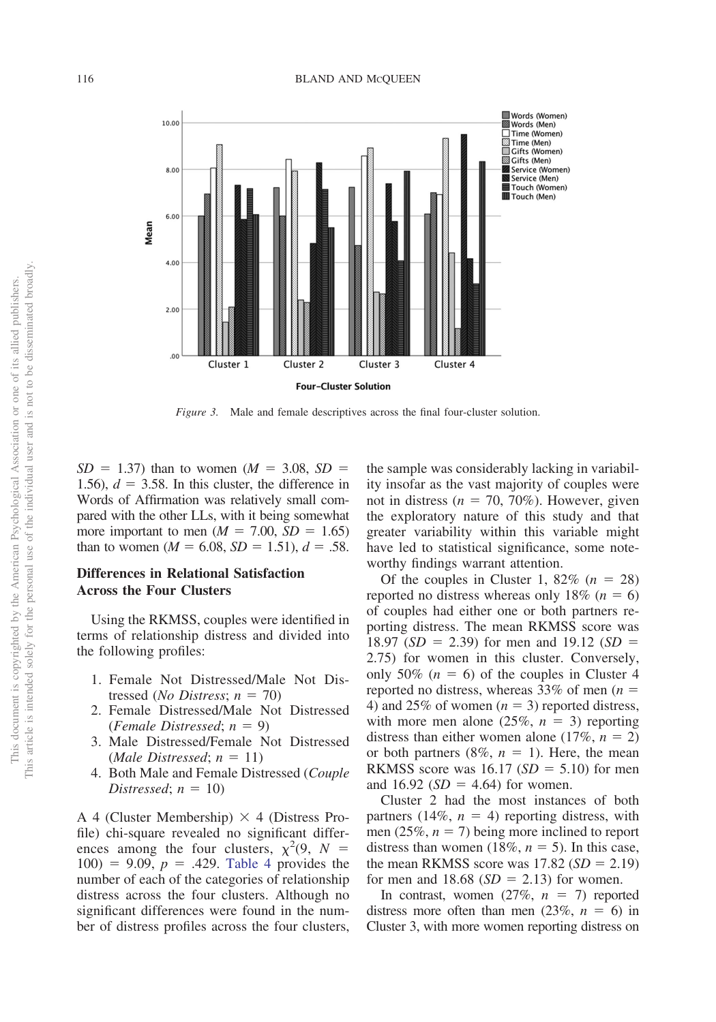

<span id="page-13-0"></span>*Figure 3.* Male and female descriptives across the final four-cluster solution.

 $SD = 1.37$ ) than to women ( $M = 3.08$ ,  $SD =$ 1.56),  $d = 3.58$ . In this cluster, the difference in Words of Affirmation was relatively small compared with the other LLs, with it being somewhat more important to men  $(M = 7.00, SD = 1.65)$ than to women  $(M = 6.08, SD = 1.51), d = .58$ .

# **Differences in Relational Satisfaction Across the Four Clusters**

Using the RKMSS, couples were identified in terms of relationship distress and divided into the following profiles:

- 1. Female Not Distressed/Male Not Distressed (*No Distress*;  $n = 70$ )
- 2. Female Distressed/Male Not Distressed  $(Female\;Distressed; n = 9)$
- 3. Male Distressed/Female Not Distressed  $(Male \; Distressed; n = 11)$
- 4. Both Male and Female Distressed (*Couple Distressed*;  $n = 10$

A 4 (Cluster Membership)  $\times$  4 (Distress Profile) chi-square revealed no significant differences among the four clusters,  $\chi^2(9, N =$  $100) = 9.09$ ,  $p = .429$ . [Table 4](#page-14-0) provides the number of each of the categories of relationship distress across the four clusters. Although no significant differences were found in the number of distress profiles across the four clusters, the sample was considerably lacking in variability insofar as the vast majority of couples were not in distress ( $n = 70, 70\%$ ). However, given the exploratory nature of this study and that greater variability within this variable might have led to statistical significance, some noteworthy findings warrant attention.

Of the couples in Cluster 1,  $82\%$  ( $n = 28$ ) reported no distress whereas only 18%  $(n = 6)$ of couples had either one or both partners reporting distress. The mean RKMSS score was 18.97 ( $SD = 2.39$ ) for men and 19.12 ( $SD =$ 2.75) for women in this cluster. Conversely, only 50%  $(n = 6)$  of the couples in Cluster 4 reported no distress, whereas 33% of men (*n* 4) and 25% of women  $(n = 3)$  reported distress, with more men alone  $(25\%, n = 3)$  reporting distress than either women alone  $(17\%, n = 2)$ or both partners  $(8\%, n = 1)$ . Here, the mean RKMSS score was  $16.17$  (*SD* = 5.10) for men and  $16.92$  (*SD* = 4.64) for women.

Cluster 2 had the most instances of both partners  $(14\%, n = 4)$  reporting distress, with men (25%,  $n = 7$ ) being more inclined to report distress than women (18%,  $n = 5$ ). In this case, the mean RKMSS score was  $17.82$  ( $SD = 2.19$ ) for men and  $18.68$  ( $SD = 2.13$ ) for women.

In contrast, women  $(27\%, n = 7)$  reported distress more often than men  $(23\%, n = 6)$  in Cluster 3, with more women reporting distress on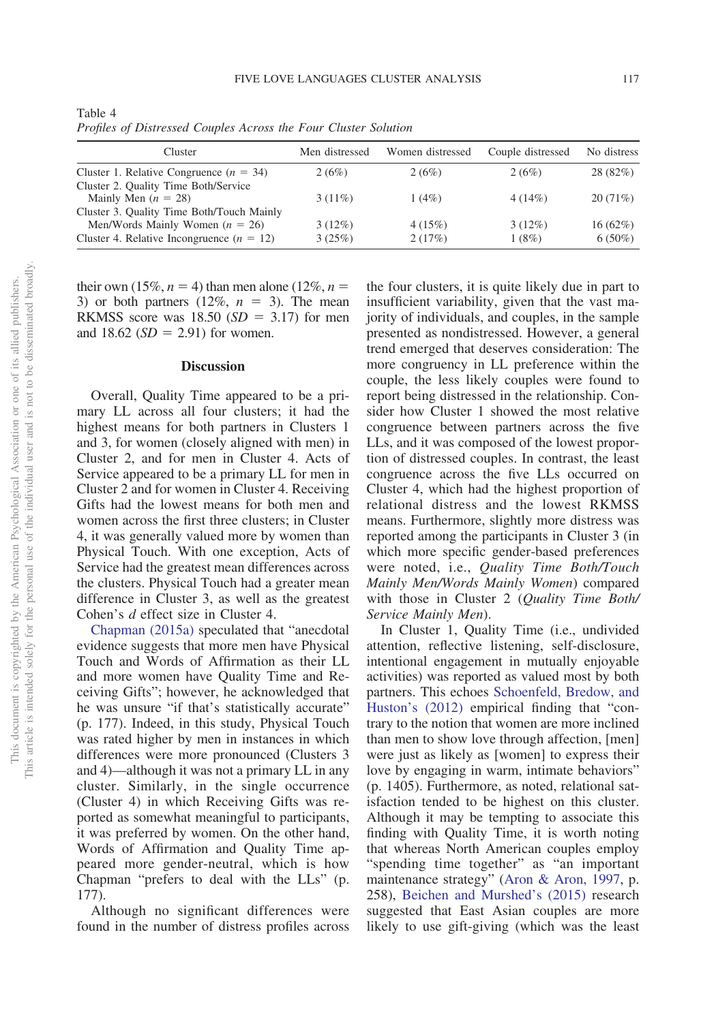| Cluster                                     | Men distressed | Women distressed | Couple distressed | No distress |
|---------------------------------------------|----------------|------------------|-------------------|-------------|
| Cluster 1. Relative Congruence ( $n = 34$ ) | 2(6%)          | 2(6%)            | 2(6%)             | 28 (82%)    |
| Cluster 2. Quality Time Both/Service        |                |                  |                   |             |
| Mainly Men $(n = 28)$                       | $3(11\%)$      | 1(4%)            | 4(14%)            | 20(71%)     |
| Cluster 3. Quality Time Both/Touch Mainly   |                |                  |                   |             |
| Men/Words Mainly Women $(n = 26)$           | $3(12\%)$      | 4(15%)           | $3(12\%)$         | 16(62%)     |
| Cluster 4. Relative Incongruence $(n = 12)$ | 3(25%)         | 2(17%)           | 1(8%)             | $6(50\%)$   |

<span id="page-14-0"></span>Table 4 *Profiles of Distressed Couples Across the Four Cluster Solution*

their own (15%,  $n = 4$ ) than men alone (12%,  $n =$ 3) or both partners  $(12\%, n = 3)$ . The mean RKMSS score was  $18.50$  (*SD* = 3.17) for men and  $18.62$  (*SD* = 2.91) for women.

#### **Discussion**

Overall, Quality Time appeared to be a primary LL across all four clusters; it had the highest means for both partners in Clusters 1 and 3, for women (closely aligned with men) in Cluster 2, and for men in Cluster 4. Acts of Service appeared to be a primary LL for men in Cluster 2 and for women in Cluster 4. Receiving Gifts had the lowest means for both men and women across the first three clusters; in Cluster 4, it was generally valued more by women than Physical Touch. With one exception, Acts of Service had the greatest mean differences across the clusters. Physical Touch had a greater mean difference in Cluster 3, as well as the greatest Cohen's *d* effect size in Cluster 4.

[Chapman \(2015a\)](#page-19-0) speculated that "anecdotal evidence suggests that more men have Physical Touch and Words of Affirmation as their LL and more women have Quality Time and Receiving Gifts"; however, he acknowledged that he was unsure "if that's statistically accurate" (p. 177). Indeed, in this study, Physical Touch was rated higher by men in instances in which differences were more pronounced (Clusters 3 and 4)—although it was not a primary LL in any cluster. Similarly, in the single occurrence (Cluster 4) in which Receiving Gifts was reported as somewhat meaningful to participants, it was preferred by women. On the other hand, Words of Affirmation and Quality Time appeared more gender-neutral, which is how Chapman "prefers to deal with the LLs" (p. 177).

Although no significant differences were found in the number of distress profiles across

the four clusters, it is quite likely due in part to insufficient variability, given that the vast majority of individuals, and couples, in the sample presented as nondistressed. However, a general trend emerged that deserves consideration: The more congruency in LL preference within the couple, the less likely couples were found to report being distressed in the relationship. Consider how Cluster 1 showed the most relative congruence between partners across the five LLs, and it was composed of the lowest proportion of distressed couples. In contrast, the least congruence across the five LLs occurred on Cluster 4, which had the highest proportion of relational distress and the lowest RKMSS means. Furthermore, slightly more distress was reported among the participants in Cluster 3 (in which more specific gender-based preferences were noted, i.e., *Quality Time Both/Touch Mainly Men/Words Mainly Women*) compared with those in Cluster 2 (*Quality Time Both/ Service Mainly Men*).

In Cluster 1, Quality Time (i.e., undivided attention, reflective listening, self-disclosure, intentional engagement in mutually enjoyable activities) was reported as valued most by both partners. This echoes [Schoenfeld, Bredow, and](#page-22-13) [Huston's \(2012\)](#page-22-13) empirical finding that "contrary to the notion that women are more inclined than men to show love through affection, [men] were just as likely as [women] to express their love by engaging in warm, intimate behaviors" (p. 1405). Furthermore, as noted, relational satisfaction tended to be highest on this cluster. Although it may be tempting to associate this finding with Quality Time, it is worth noting that whereas North American couples employ "spending time together" as "an important maintenance strategy" [\(Aron & Aron, 1997,](#page-19-7) p. 258), [Beichen and Murshed's \(2015\)](#page-19-17) research suggested that East Asian couples are more likely to use gift-giving (which was the least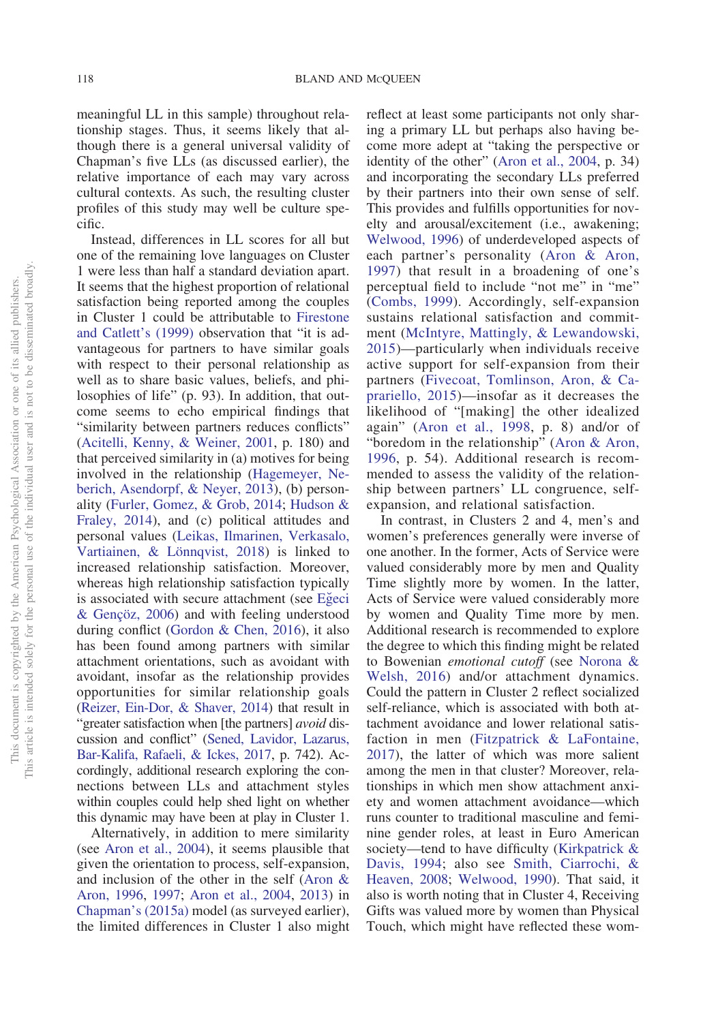meaningful LL in this sample) throughout relationship stages. Thus, it seems likely that although there is a general universal validity of Chapman's five LLs (as discussed earlier), the relative importance of each may vary across cultural contexts. As such, the resulting cluster profiles of this study may well be culture specific.

Instead, differences in LL scores for all but one of the remaining love languages on Cluster 1 were less than half a standard deviation apart. It seems that the highest proportion of relational satisfaction being reported among the couples in Cluster 1 could be attributable to [Firestone](#page-20-10) [and Catlett's \(1999\)](#page-20-10) observation that "it is advantageous for partners to have similar goals with respect to their personal relationship as well as to share basic values, beliefs, and philosophies of life" (p. 93). In addition, that outcome seems to echo empirical findings that "similarity between partners reduces conflicts" [\(Acitelli, Kenny, & Weiner, 2001,](#page-19-18) p. 180) and that perceived similarity in (a) motives for being involved in the relationship [\(Hagemeyer, Ne](#page-21-10)[berich, Asendorpf, & Neyer, 2013\)](#page-21-10), (b) personality [\(Furler, Gomez, & Grob, 2014;](#page-20-17) [Hudson &](#page-21-11) [Fraley, 2014\)](#page-21-11), and (c) political attitudes and personal values [\(Leikas, Ilmarinen, Verkasalo,](#page-21-12) [Vartiainen, & Lönnqvist, 2018\)](#page-21-12) is linked to increased relationship satisfaction. Moreover, whereas high relationship satisfaction typically is associated with secure attachment (see Egeci [& Gençöz, 2006\)](#page-20-18) and with feeling understood during conflict [\(Gordon & Chen, 2016\)](#page-20-19), it also has been found among partners with similar attachment orientations, such as avoidant with avoidant, insofar as the relationship provides opportunities for similar relationship goals [\(Reizer, Ein-Dor, & Shaver, 2014\)](#page-22-14) that result in "greater satisfaction when [the partners] *avoid* discussion and conflict" [\(Sened, Lavidor, Lazarus,](#page-22-15) [Bar-Kalifa, Rafaeli, & Ickes, 2017,](#page-22-15) p. 742). Accordingly, additional research exploring the connections between LLs and attachment styles within couples could help shed light on whether this dynamic may have been at play in Cluster 1.

Alternatively, in addition to mere similarity (see [Aron et al., 2004\)](#page-19-10), it seems plausible that given the orientation to process, self-expansion, and inclusion of the other in the self [\(Aron &](#page-19-11) [Aron, 1996,](#page-19-11) [1997;](#page-19-7) [Aron et al., 2004,](#page-19-10) [2013\)](#page-19-8) in [Chapman's \(2015a\)](#page-19-0) model (as surveyed earlier), the limited differences in Cluster 1 also might reflect at least some participants not only sharing a primary LL but perhaps also having become more adept at "taking the perspective or identity of the other" [\(Aron et al., 2004,](#page-19-10) p. 34) and incorporating the secondary LLs preferred by their partners into their own sense of self. This provides and fulfills opportunities for novelty and arousal/excitement (i.e., awakening; [Welwood, 1996\)](#page-23-1) of underdeveloped aspects of each partner's personality [\(Aron & Aron,](#page-19-7) [1997\)](#page-19-7) that result in a broadening of one's perceptual field to include "not me" in "me" [\(Combs, 1999\)](#page-20-20). Accordingly, self-expansion sustains relational satisfaction and commitment [\(McIntyre, Mattingly, & Lewandowski,](#page-22-16) [2015\)](#page-22-16)—particularly when individuals receive active support for self-expansion from their partners [\(Fivecoat, Tomlinson, Aron, & Ca](#page-20-21)[prariello, 2015\)](#page-20-21)—insofar as it decreases the likelihood of "[making] the other idealized again" [\(Aron et al., 1998,](#page-19-9) p. 8) and/or of "boredom in the relationship" [\(Aron & Aron,](#page-19-11) [1996,](#page-19-11) p. 54). Additional research is recommended to assess the validity of the relationship between partners' LL congruence, selfexpansion, and relational satisfaction.

In contrast, in Clusters 2 and 4, men's and women's preferences generally were inverse of one another. In the former, Acts of Service were valued considerably more by men and Quality Time slightly more by women. In the latter, Acts of Service were valued considerably more by women and Quality Time more by men. Additional research is recommended to explore the degree to which this finding might be related to Bowenian *emotional cutoff* (see [Norona &](#page-22-17) [Welsh, 2016\)](#page-22-17) and/or attachment dynamics. Could the pattern in Cluster 2 reflect socialized self-reliance, which is associated with both attachment avoidance and lower relational satisfaction in men [\(Fitzpatrick & LaFontaine,](#page-20-22) [2017\)](#page-20-22), the latter of which was more salient among the men in that cluster? Moreover, relationships in which men show attachment anxiety and women attachment avoidance—which runs counter to traditional masculine and feminine gender roles, at least in Euro American society—tend to have difficulty [\(Kirkpatrick &](#page-21-13) [Davis, 1994;](#page-21-13) also see [Smith, Ciarrochi, &](#page-23-6) [Heaven, 2008;](#page-23-6) [Welwood, 1990\)](#page-23-0). That said, it also is worth noting that in Cluster 4, Receiving Gifts was valued more by women than Physical Touch, which might have reflected these wom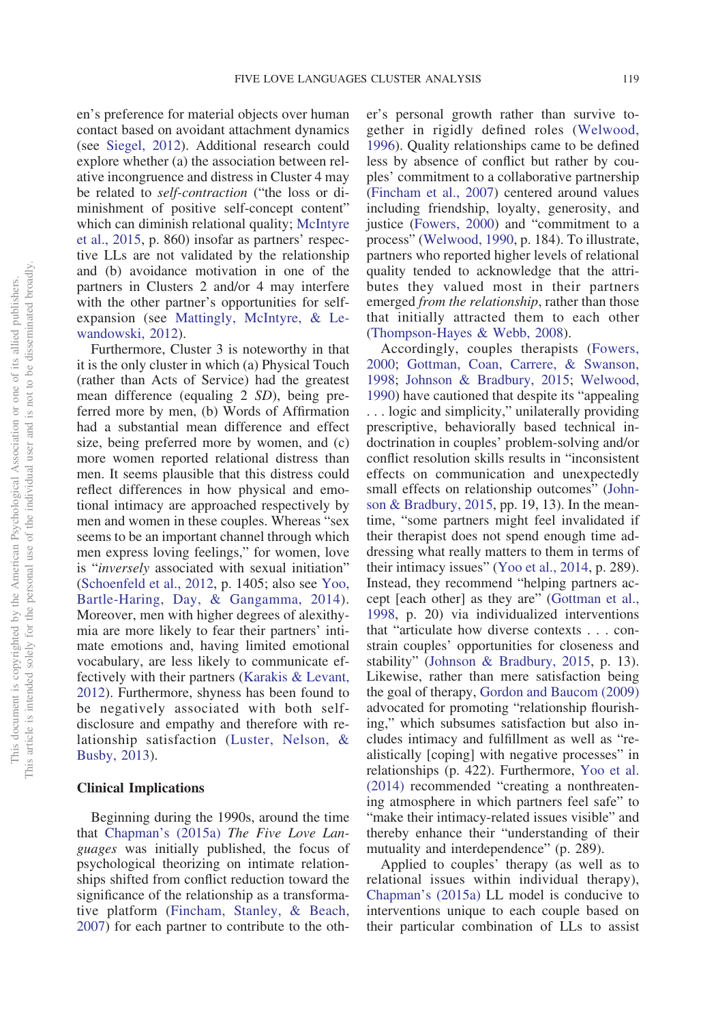en's preference for material objects over human contact based on avoidant attachment dynamics (see [Siegel, 2012\)](#page-22-18). Additional research could explore whether (a) the association between relative incongruence and distress in Cluster 4 may be related to *self-contraction* ("the loss or diminishment of positive self-concept content" which can diminish relational quality; [McIntyre](#page-22-16) [et al., 2015,](#page-22-16) p. 860) insofar as partners' respective LLs are not validated by the relationship and (b) avoidance motivation in one of the partners in Clusters 2 and/or 4 may interfere with the other partner's opportunities for selfexpansion (see [Mattingly, McIntyre, & Le](#page-21-14)[wandowski, 2012\)](#page-21-14).

Furthermore, Cluster 3 is noteworthy in that it is the only cluster in which (a) Physical Touch (rather than Acts of Service) had the greatest mean difference (equaling 2 *SD*), being preferred more by men, (b) Words of Affirmation had a substantial mean difference and effect size, being preferred more by women, and (c) more women reported relational distress than men. It seems plausible that this distress could reflect differences in how physical and emotional intimacy are approached respectively by men and women in these couples. Whereas "sex seems to be an important channel through which men express loving feelings," for women, love is "*inversely* associated with sexual initiation" [\(Schoenfeld et al., 2012,](#page-22-13) p. 1405; also see [Yoo,](#page-23-7) [Bartle-Haring, Day, & Gangamma, 2014\)](#page-23-7). Moreover, men with higher degrees of alexithymia are more likely to fear their partners' intimate emotions and, having limited emotional vocabulary, are less likely to communicate effectively with their partners [\(Karakis & Levant,](#page-21-15) [2012\)](#page-21-15). Furthermore, shyness has been found to be negatively associated with both selfdisclosure and empathy and therefore with relationship satisfaction [\(Luster, Nelson, &](#page-21-16) [Busby, 2013\)](#page-21-16).

#### **Clinical Implications**

Beginning during the 1990s, around the time that [Chapman's \(2015a\)](#page-19-0) *The Five Love Languages* was initially published, the focus of psychological theorizing on intimate relationships shifted from conflict reduction toward the significance of the relationship as a transformative platform [\(Fincham, Stanley, & Beach,](#page-20-23) [2007\)](#page-20-23) for each partner to contribute to the other's personal growth rather than survive together in rigidly defined roles [\(Welwood,](#page-23-1) [1996\)](#page-23-1). Quality relationships came to be defined less by absence of conflict but rather by couples' commitment to a collaborative partnership [\(Fincham et al., 2007\)](#page-20-23) centered around values including friendship, loyalty, generosity, and justice [\(Fowers, 2000\)](#page-20-12) and "commitment to a process" [\(Welwood, 1990,](#page-23-0) p. 184). To illustrate, partners who reported higher levels of relational quality tended to acknowledge that the attributes they valued most in their partners emerged *from the relationship*, rather than those that initially attracted them to each other [\(Thompson-Hayes & Webb, 2008\)](#page-23-8).

Accordingly, couples therapists [\(Fowers,](#page-20-12) [2000;](#page-20-12) [Gottman, Coan, Carrere, & Swanson,](#page-21-17) [1998;](#page-21-17) [Johnson & Bradbury, 2015;](#page-21-18) [Welwood,](#page-23-0) [1990\)](#page-23-0) have cautioned that despite its "appealing . . . logic and simplicity," unilaterally providing prescriptive, behaviorally based technical indoctrination in couples' problem-solving and/or conflict resolution skills results in "inconsistent effects on communication and unexpectedly small effects on relationship outcomes" [\(John](#page-21-18)[son & Bradbury, 2015,](#page-21-18) pp. 19, 13). In the meantime, "some partners might feel invalidated if their therapist does not spend enough time addressing what really matters to them in terms of their intimacy issues" [\(Yoo et al., 2014,](#page-23-7) p. 289). Instead, they recommend "helping partners accept [each other] as they are" [\(Gottman et al.,](#page-21-17) [1998,](#page-21-17) p. 20) via individualized interventions that "articulate how diverse contexts... constrain couples' opportunities for closeness and stability" [\(Johnson & Bradbury, 2015,](#page-21-18) p. 13). Likewise, rather than mere satisfaction being the goal of therapy, [Gordon and Baucom \(2009\)](#page-21-6) advocated for promoting "relationship flourishing," which subsumes satisfaction but also includes intimacy and fulfillment as well as "realistically [coping] with negative processes" in relationships (p. 422). Furthermore, [Yoo et al.](#page-23-7) [\(2014\)](#page-23-7) recommended "creating a nonthreatening atmosphere in which partners feel safe" to "make their intimacy-related issues visible" and thereby enhance their "understanding of their mutuality and interdependence" (p. 289).

Applied to couples' therapy (as well as to relational issues within individual therapy), [Chapman's \(2015a\)](#page-19-0) LL model is conducive to interventions unique to each couple based on their particular combination of LLs to assist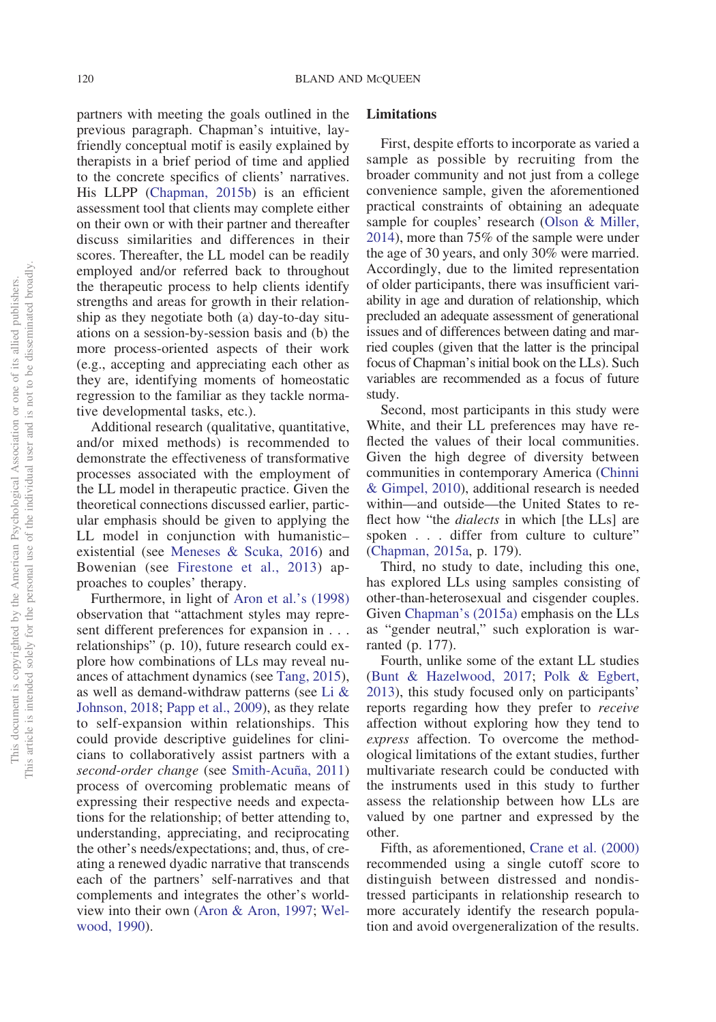partners with meeting the goals outlined in the previous paragraph. Chapman's intuitive, layfriendly conceptual motif is easily explained by therapists in a brief period of time and applied to the concrete specifics of clients' narratives. His LLPP [\(Chapman, 2015b\)](#page-19-12) is an efficient assessment tool that clients may complete either on their own or with their partner and thereafter discuss similarities and differences in their scores. Thereafter, the LL model can be readily employed and/or referred back to throughout the therapeutic process to help clients identify strengths and areas for growth in their relationship as they negotiate both (a) day-to-day situations on a session-by-session basis and (b) the more process-oriented aspects of their work (e.g., accepting and appreciating each other as they are, identifying moments of homeostatic regression to the familiar as they tackle normative developmental tasks, etc.).

Additional research (qualitative, quantitative, and/or mixed methods) is recommended to demonstrate the effectiveness of transformative processes associated with the employment of the LL model in therapeutic practice. Given the theoretical connections discussed earlier, particular emphasis should be given to applying the LL model in conjunction with humanistic– existential (see [Meneses & Scuka, 2016\)](#page-22-19) and Bowenian (see [Firestone et al., 2013\)](#page-20-9) approaches to couples' therapy.

Furthermore, in light of [Aron et al.'s \(1998\)](#page-19-9) observation that "attachment styles may represent different preferences for expansion in . . . relationships" (p. 10), future research could explore how combinations of LLs may reveal nuances of attachment dynamics (see [Tang, 2015\)](#page-23-9), as well as demand-withdraw patterns (see [Li &](#page-21-19) [Johnson, 2018;](#page-21-19) [Papp et al., 2009\)](#page-22-0), as they relate to self-expansion within relationships. This could provide descriptive guidelines for clinicians to collaboratively assist partners with a *second-order change* (see [Smith-Acuña, 2011\)](#page-23-2) process of overcoming problematic means of expressing their respective needs and expectations for the relationship; of better attending to, understanding, appreciating, and reciprocating the other's needs/expectations; and, thus, of creating a renewed dyadic narrative that transcends each of the partners' self-narratives and that complements and integrates the other's worldview into their own [\(Aron & Aron, 1997;](#page-19-7) [Wel](#page-23-0)[wood, 1990\)](#page-23-0).

#### **Limitations**

First, despite efforts to incorporate as varied a sample as possible by recruiting from the broader community and not just from a college convenience sample, given the aforementioned practical constraints of obtaining an adequate sample for couples' research [\(Olson & Miller,](#page-22-7) [2014\)](#page-22-7), more than 75% of the sample were under the age of 30 years, and only 30% were married. Accordingly, due to the limited representation of older participants, there was insufficient variability in age and duration of relationship, which precluded an adequate assessment of generational issues and of differences between dating and married couples (given that the latter is the principal focus of Chapman's initial book on the LLs). Such variables are recommended as a focus of future study.

Second, most participants in this study were White, and their LL preferences may have reflected the values of their local communities. Given the high degree of diversity between communities in contemporary America [\(Chinni](#page-20-24) [& Gimpel, 2010\)](#page-20-24), additional research is needed within—and outside—the United States to reflect how "the *dialects* in which [the LLs] are spoken... differ from culture to culture" [\(Chapman, 2015a,](#page-19-0) p. 179).

Third, no study to date, including this one, has explored LLs using samples consisting of other-than-heterosexual and cisgender couples. Given [Chapman's \(2015a\)](#page-19-0) emphasis on the LLs as "gender neutral," such exploration is warranted (p. 177).

Fourth, unlike some of the extant LL studies [\(Bunt & Hazelwood, 2017;](#page-19-1) [Polk & Egbert,](#page-22-5) [2013\)](#page-22-5), this study focused only on participants' reports regarding how they prefer to *receive* affection without exploring how they tend to *express* affection. To overcome the methodological limitations of the extant studies, further multivariate research could be conducted with the instruments used in this study to further assess the relationship between how LLs are valued by one partner and expressed by the other.

Fifth, as aforementioned, [Crane et al. \(2000\)](#page-20-14) recommended using a single cutoff score to distinguish between distressed and nondistressed participants in relationship research to more accurately identify the research population and avoid overgeneralization of the results.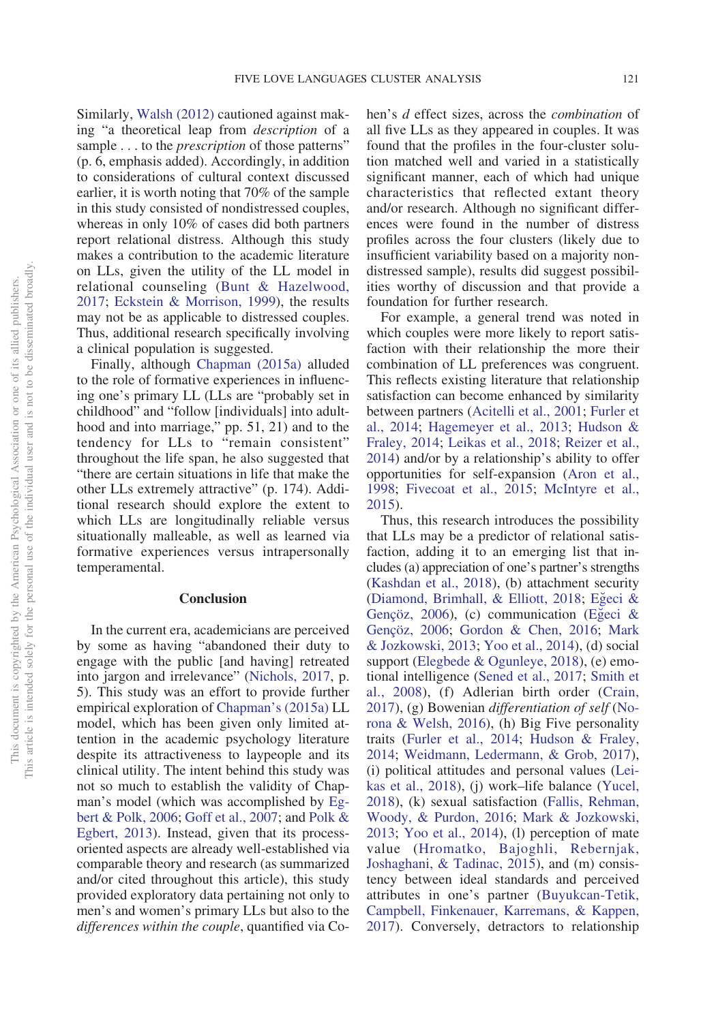Similarly, [Walsh \(2012\)](#page-23-10) cautioned against making "a theoretical leap from *description* of a sample . . . to the *prescription* of those patterns" (p. 6, emphasis added). Accordingly, in addition to considerations of cultural context discussed earlier, it is worth noting that 70% of the sample in this study consisted of nondistressed couples, whereas in only 10% of cases did both partners report relational distress. Although this study makes a contribution to the academic literature on LLs, given the utility of the LL model in relational counseling [\(Bunt & Hazelwood,](#page-19-1) [2017;](#page-19-1) [Eckstein & Morrison, 1999\)](#page-20-1), the results may not be as applicable to distressed couples. Thus, additional research specifically involving a clinical population is suggested.

Finally, although [Chapman \(2015a\)](#page-19-0) alluded to the role of formative experiences in influencing one's primary LL (LLs are "probably set in childhood" and "follow [individuals] into adulthood and into marriage," pp. 51, 21) and to the tendency for LLs to "remain consistent" throughout the life span, he also suggested that "there are certain situations in life that make the other LLs extremely attractive" (p. 174). Additional research should explore the extent to which LLs are longitudinally reliable versus situationally malleable, as well as learned via formative experiences versus intrapersonally temperamental.

#### **Conclusion**

In the current era, academicians are perceived by some as having "abandoned their duty to engage with the public [and having] retreated into jargon and irrelevance" [\(Nichols, 2017,](#page-22-20) p. 5). This study was an effort to provide further empirical exploration of [Chapman's \(2015a\)](#page-19-0) LL model, which has been given only limited attention in the academic psychology literature despite its attractiveness to laypeople and its clinical utility. The intent behind this study was not so much to establish the validity of Chapman's model (which was accomplished by [Eg](#page-20-0)[bert & Polk, 2006;](#page-20-0) [Goff et al., 2007;](#page-20-13) and [Polk &](#page-22-5) [Egbert, 2013\)](#page-22-5). Instead, given that its processoriented aspects are already well-established via comparable theory and research (as summarized and/or cited throughout this article), this study provided exploratory data pertaining not only to men's and women's primary LLs but also to the *differences within the couple*, quantified via Cohen's *d* effect sizes, across the *combination* of all five LLs as they appeared in couples. It was found that the profiles in the four-cluster solution matched well and varied in a statistically significant manner, each of which had unique characteristics that reflected extant theory and/or research. Although no significant differences were found in the number of distress profiles across the four clusters (likely due to insufficient variability based on a majority nondistressed sample), results did suggest possibilities worthy of discussion and that provide a foundation for further research.

For example, a general trend was noted in which couples were more likely to report satisfaction with their relationship the more their combination of LL preferences was congruent. This reflects existing literature that relationship satisfaction can become enhanced by similarity between partners [\(Acitelli et al., 2001;](#page-19-18) [Furler et](#page-20-17) [al., 2014;](#page-20-17) [Hagemeyer et al., 2013;](#page-21-10) [Hudson &](#page-21-11) [Fraley, 2014;](#page-21-11) [Leikas et al., 2018;](#page-21-12) [Reizer et al.,](#page-22-14) [2014\)](#page-22-14) and/or by a relationship's ability to offer opportunities for self-expansion [\(Aron et al.,](#page-19-9) [1998;](#page-19-9) [Fivecoat et al., 2015;](#page-20-21) [McIntyre et al.,](#page-22-16) [2015\)](#page-22-16).

Thus, this research introduces the possibility that LLs may be a predictor of relational satisfaction, adding it to an emerging list that includes (a) appreciation of one's partner's strengths [\(Kashdan et al., 2018\)](#page-21-20), (b) attachment security [\(Diamond, Brimhall, & Elliott, 2018;](#page-20-25) Egeci & [Gençöz, 2006\)](#page-20-18), (c) communication (Egeci & [Gençöz, 2006;](#page-20-18) [Gordon & Chen, 2016;](#page-20-19) [Mark](#page-21-21) [& Jozkowski, 2013;](#page-21-21) [Yoo et al., 2014\)](#page-23-7), (d) social support [\(Elegbede & Ogunleye, 2018\)](#page-20-26), (e) emotional intelligence [\(Sened et al., 2017;](#page-22-15) [Smith et](#page-23-6) [al., 2008\)](#page-23-6), (f) Adlerian birth order [\(Crain,](#page-20-27) [2017\)](#page-20-27), (g) Bowenian *differentiation of self* [\(No](#page-22-17)[rona & Welsh, 2016\)](#page-22-17), (h) Big Five personality traits [\(Furler et al., 2014;](#page-20-17) [Hudson & Fraley,](#page-21-11) [2014;](#page-21-11) [Weidmann, Ledermann, & Grob, 2017\)](#page-23-11), (i) political attitudes and personal values [\(Lei](#page-21-12)[kas et al., 2018\)](#page-21-12), (j) work–life balance [\(Yucel,](#page-23-12) [2018\)](#page-23-12), (k) sexual satisfaction [\(Fallis, Rehman,](#page-20-28) [Woody, & Purdon, 2016;](#page-20-28) [Mark & Jozkowski,](#page-21-21) [2013;](#page-21-21) [Yoo et al., 2014\)](#page-23-7), (l) perception of mate value [\(Hromatko, Bajoghli, Rebernjak,](#page-21-22) [Joshaghani, & Tadinac, 2015\)](#page-21-22), and (m) consistency between ideal standards and perceived attributes in one's partner [\(Buyukcan-Tetik,](#page-19-19) [Campbell, Finkenauer, Karremans, & Kappen,](#page-19-19) [2017\)](#page-19-19). Conversely, detractors to relationship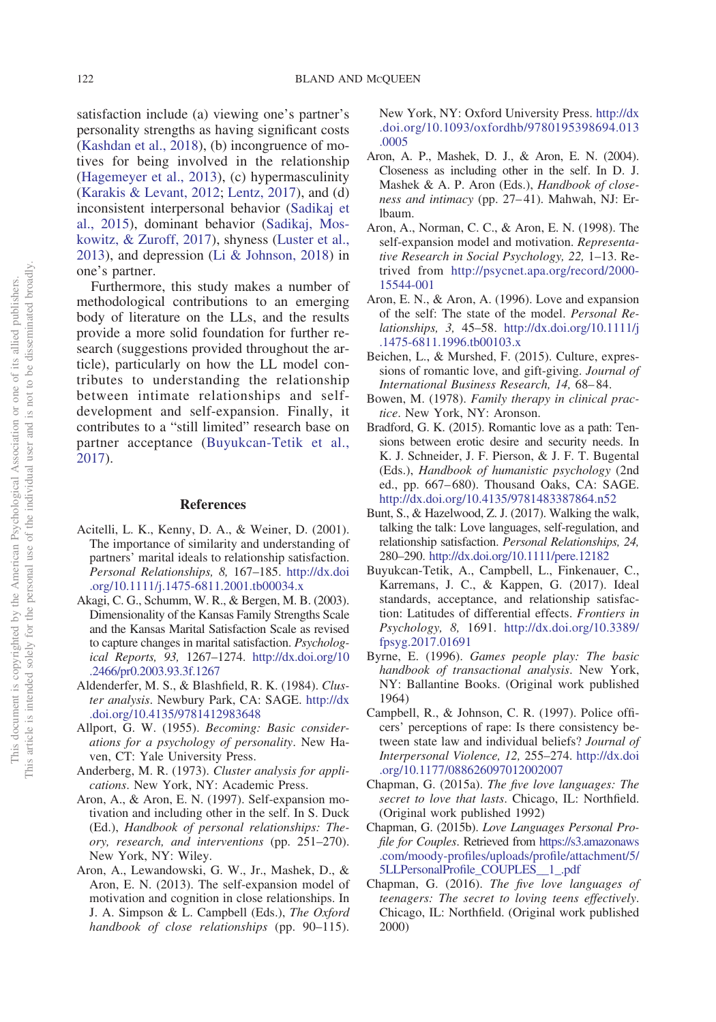satisfaction include (a) viewing one's partner's personality strengths as having significant costs [\(Kashdan et al., 2018\)](#page-21-20), (b) incongruence of motives for being involved in the relationship [\(Hagemeyer et al., 2013\)](#page-21-10), (c) hypermasculinity [\(Karakis & Levant, 2012;](#page-21-15) [Lentz, 2017\)](#page-21-23), and (d) inconsistent interpersonal behavior [\(Sadikaj et](#page-22-21) [al., 2015\)](#page-22-21), dominant behavior [\(Sadikaj, Mos](#page-22-22)[kowitz, & Zuroff, 2017\)](#page-22-22), shyness [\(Luster et al.,](#page-21-16) [2013\)](#page-21-16), and depression [\(Li & Johnson, 2018\)](#page-21-19) in one's partner.

Furthermore, this study makes a number of methodological contributions to an emerging body of literature on the LLs, and the results provide a more solid foundation for further research (suggestions provided throughout the article), particularly on how the LL model contributes to understanding the relationship between intimate relationships and selfdevelopment and self-expansion. Finally, it contributes to a "still limited" research base on partner acceptance [\(Buyukcan-Tetik et al.,](#page-19-19) [2017\)](#page-19-19).

### **References**

- <span id="page-19-18"></span>Acitelli, L. K., Kenny, D. A., & Weiner, D. (2001). The importance of similarity and understanding of partners' marital ideals to relationship satisfaction. *Personal Relationships, 8,* 167–185. [http://dx.doi](http://dx.doi.org/10.1111/j.1475-6811.2001.tb00034.x) [.org/10.1111/j.1475-6811.2001.tb00034.x](http://dx.doi.org/10.1111/j.1475-6811.2001.tb00034.x)
- <span id="page-19-13"></span>Akagi, C. G., Schumm, W. R., & Bergen, M. B. (2003). Dimensionality of the Kansas Family Strengths Scale and the Kansas Marital Satisfaction Scale as revised to capture changes in marital satisfaction. *Psychological Reports, 93,* 1267–1274. [http://dx.doi.org/10](http://dx.doi.org/10.2466/pr0.2003.93.3f.1267) [.2466/pr0.2003.93.3f.1267](http://dx.doi.org/10.2466/pr0.2003.93.3f.1267)
- <span id="page-19-14"></span>Aldenderfer, M. S., & Blashfield, R. K. (1984). *Cluster analysis*. Newbury Park, CA: SAGE. [http://dx](http://dx.doi.org/10.4135/9781412983648) [.doi.org/10.4135/9781412983648](http://dx.doi.org/10.4135/9781412983648)
- <span id="page-19-6"></span>Allport, G. W. (1955). *Becoming: Basic considerations for a psychology of personality*. New Haven, CT: Yale University Press.
- <span id="page-19-16"></span>Anderberg, M. R. (1973). *Cluster analysis for applications*. New York, NY: Academic Press.
- <span id="page-19-7"></span>Aron, A., & Aron, E. N. (1997). Self-expansion motivation and including other in the self. In S. Duck (Ed.), *Handbook of personal relationships: Theory, research, and interventions* (pp. 251–270). New York, NY: Wiley.
- <span id="page-19-8"></span>Aron, A., Lewandowski, G. W., Jr., Mashek, D., & Aron, E. N. (2013). The self-expansion model of motivation and cognition in close relationships. In J. A. Simpson & L. Campbell (Eds.), *The Oxford handbook of close relationships* (pp. 90–115).

New York, NY: Oxford University Press. [http://dx](http://dx.doi.org/10.1093/oxfordhb/9780195398694.013.0005) [.doi.org/10.1093/oxfordhb/9780195398694.013](http://dx.doi.org/10.1093/oxfordhb/9780195398694.013.0005) [.0005](http://dx.doi.org/10.1093/oxfordhb/9780195398694.013.0005)

- <span id="page-19-10"></span>Aron, A. P., Mashek, D. J., & Aron, E. N. (2004). Closeness as including other in the self. In D. J. Mashek & A. P. Aron (Eds.), *Handbook of closeness and intimacy* (pp. 27–41). Mahwah, NJ: Erlbaum.
- <span id="page-19-9"></span>Aron, A., Norman, C. C., & Aron, E. N. (1998). The self-expansion model and motivation. *Representative Research in Social Psychology, 22,* 1–13. Retrived from [http://psycnet.apa.org/record/2000-](http://psycnet.apa.org/record/2000-15544-001) [15544-001](http://psycnet.apa.org/record/2000-15544-001)
- <span id="page-19-11"></span>Aron, E. N., & Aron, A. (1996). Love and expansion of the self: The state of the model. *Personal Relationships, 3,* 45–58. [http://dx.doi.org/10.1111/j](http://dx.doi.org/10.1111/j.1475-6811.1996.tb00103.x) [.1475-6811.1996.tb00103.x](http://dx.doi.org/10.1111/j.1475-6811.1996.tb00103.x)
- <span id="page-19-17"></span>Beichen, L., & Murshed, F. (2015). Culture, expressions of romantic love, and gift-giving. *Journal of International Business Research, 14,* 68–84.
- <span id="page-19-5"></span>Bowen, M. (1978). *Family therapy in clinical practice*. New York, NY: Aronson.
- <span id="page-19-4"></span>Bradford, G. K. (2015). Romantic love as a path: Tensions between erotic desire and security needs. In K. J. Schneider, J. F. Pierson, & J. F. T. Bugental (Eds.), *Handbook of humanistic psychology* (2nd ed., pp. 667–680). Thousand Oaks, CA: SAGE. <http://dx.doi.org/10.4135/9781483387864.n52>
- <span id="page-19-1"></span>Bunt, S., & Hazelwood, Z. J. (2017). Walking the walk, talking the talk: Love languages, self-regulation, and relationship satisfaction. *Personal Relationships, 24,* 280–290. <http://dx.doi.org/10.1111/pere.12182>
- <span id="page-19-19"></span>Buyukcan-Tetik, A., Campbell, L., Finkenauer, C., Karremans, J. C., & Kappen, G. (2017). Ideal standards, acceptance, and relationship satisfaction: Latitudes of differential effects. *Frontiers in Psychology, 8,* 1691. [http://dx.doi.org/10.3389/](http://dx.doi.org/10.3389/fpsyg.2017.01691) [fpsyg.2017.01691](http://dx.doi.org/10.3389/fpsyg.2017.01691)
- <span id="page-19-3"></span>Byrne, E. (1996). *Games people play: The basic handbook of transactional analysis*. New York, NY: Ballantine Books. (Original work published 1964)
- <span id="page-19-15"></span>Campbell, R., & Johnson, C. R. (1997). Police officers' perceptions of rape: Is there consistency between state law and individual beliefs? *Journal of Interpersonal Violence, 12,* 255–274. [http://dx.doi](http://dx.doi.org/10.1177/088626097012002007) [.org/10.1177/088626097012002007](http://dx.doi.org/10.1177/088626097012002007)
- <span id="page-19-0"></span>Chapman, G. (2015a). *The five love languages: The secret to love that lasts*. Chicago, IL: Northfield. (Original work published 1992)
- <span id="page-19-12"></span>Chapman, G. (2015b). *Love Languages Personal Profile for Couples*. Retrieved from [https://s3.amazonaws](https://s3.amazonaws.com/moody-profiles/uploads/profile/attachment/5/5LLPersonalProfile_COUPLES__1_.pdf) [.com/moody-profiles/uploads/profile/attachment/5/](https://s3.amazonaws.com/moody-profiles/uploads/profile/attachment/5/5LLPersonalProfile_COUPLES__1_.pdf) [5LLPersonalProfile\\_COUPLES\\_\\_1\\_.pdf](https://s3.amazonaws.com/moody-profiles/uploads/profile/attachment/5/5LLPersonalProfile_COUPLES__1_.pdf)
- <span id="page-19-2"></span>Chapman, G. (2016). *The five love languages of teenagers: The secret to loving teens effectively*. Chicago, IL: Northfield. (Original work published 2000)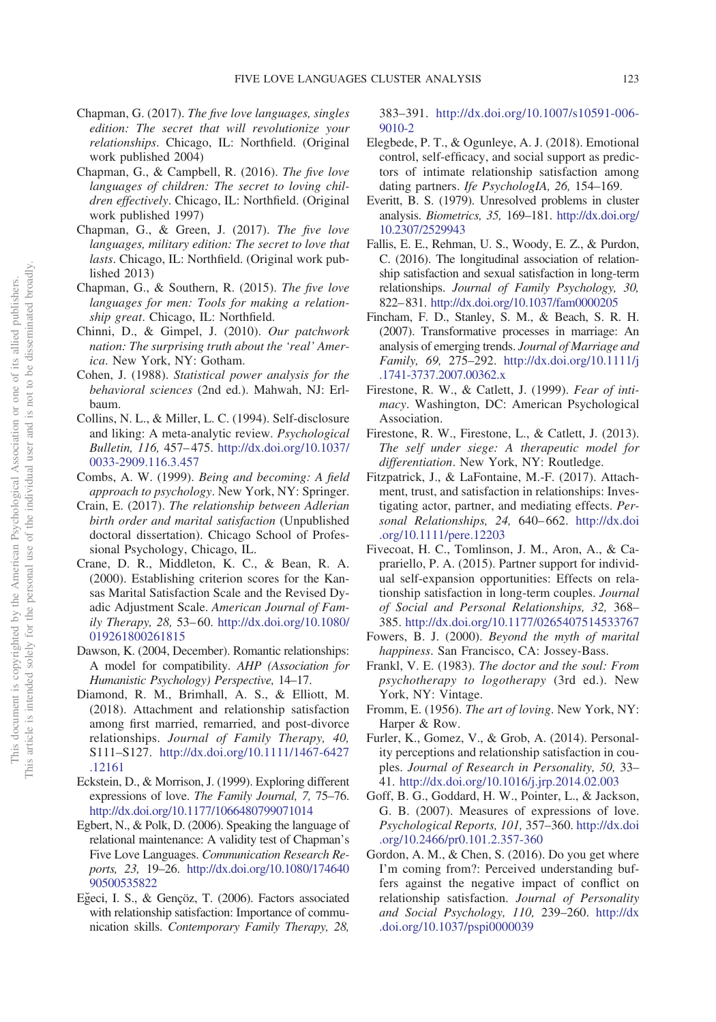- <span id="page-20-3"></span>Chapman, G. (2017). *The five love languages, singles edition: The secret that will revolutionize your relationships*. Chicago, IL: Northfield. (Original work published 2004)
- <span id="page-20-4"></span>Chapman, G., & Campbell, R. (2016). *The five love languages of children: The secret to loving children effectively*. Chicago, IL: Northfield. (Original work published 1997)
- <span id="page-20-5"></span>Chapman, G., & Green, J. (2017). *The five love languages, military edition: The secret to love that lasts*. Chicago, IL: Northfield. (Original work published 2013)
- <span id="page-20-2"></span>Chapman, G., & Southern, R. (2015). *The five love languages for men: Tools for making a relationship great*. Chicago, IL: Northfield.
- <span id="page-20-24"></span>Chinni, D., & Gimpel, J. (2010). *Our patchwork nation: The surprising truth about the 'real' America*. New York, NY: Gotham.
- <span id="page-20-16"></span>Cohen, J. (1988). *Statistical power analysis for the behavioral sciences* (2nd ed.). Mahwah, NJ: Erlbaum.
- <span id="page-20-6"></span>Collins, N. L., & Miller, L. C. (1994). Self-disclosure and liking: A meta-analytic review. *Psychological Bulletin, 116,* 457–475. [http://dx.doi.org/10.1037/](http://dx.doi.org/10.1037/0033-2909.116.3.457) [0033-2909.116.3.457](http://dx.doi.org/10.1037/0033-2909.116.3.457)
- <span id="page-20-20"></span>Combs, A. W. (1999). *Being and becoming: A field approach to psychology*. New York, NY: Springer.
- <span id="page-20-27"></span>Crain, E. (2017). *The relationship between Adlerian birth order and marital satisfaction* (Unpublished doctoral dissertation). Chicago School of Professional Psychology, Chicago, IL.
- <span id="page-20-14"></span>Crane, D. R., Middleton, K. C., & Bean, R. A. (2000). Establishing criterion scores for the Kansas Marital Satisfaction Scale and the Revised Dyadic Adjustment Scale. *American Journal of Family Therapy, 28,* 53–60. [http://dx.doi.org/10.1080/](http://dx.doi.org/10.1080/019261800261815) [019261800261815](http://dx.doi.org/10.1080/019261800261815)
- <span id="page-20-11"></span>Dawson, K. (2004, December). Romantic relationships: A model for compatibility. *AHP (Association for Humanistic Psychology) Perspective,* 14–17.
- <span id="page-20-25"></span>Diamond, R. M., Brimhall, A. S., & Elliott, M. (2018). Attachment and relationship satisfaction among first married, remarried, and post-divorce relationships. *Journal of Family Therapy, 40,* S111–S127. [http://dx.doi.org/10.1111/1467-6427](http://dx.doi.org/10.1111/1467-6427.12161) [.12161](http://dx.doi.org/10.1111/1467-6427.12161)
- <span id="page-20-1"></span>Eckstein, D., & Morrison, J. (1999). Exploring different expressions of love. *The Family Journal, 7,* 75–76. <http://dx.doi.org/10.1177/1066480799071014>
- <span id="page-20-0"></span>Egbert, N., & Polk, D. (2006). Speaking the language of relational maintenance: A validity test of Chapman's Five Love Languages. *Communication Research Reports, 23,* 19–26. [http://dx.doi.org/10.1080/174640](http://dx.doi.org/10.1080/17464090500535822) [90500535822](http://dx.doi.org/10.1080/17464090500535822)
- <span id="page-20-18"></span>Eğeci, I. S., & Gençöz, T. (2006). Factors associated with relationship satisfaction: Importance of communication skills. *Contemporary Family Therapy, 28,*

383–391. [http://dx.doi.org/10.1007/s10591-006-](http://dx.doi.org/10.1007/s10591-006-9010-2) [9010-2](http://dx.doi.org/10.1007/s10591-006-9010-2)

- <span id="page-20-26"></span>Elegbede, P. T., & Ogunleye, A. J. (2018). Emotional control, self-efficacy, and social support as predictors of intimate relationship satisfaction among dating partners. *Ife PsychologIA, 26,* 154–169.
- <span id="page-20-15"></span>Everitt, B. S. (1979). Unresolved problems in cluster analysis. *Biometrics, 35,* 169–181. [http://dx.doi.org/](http://dx.doi.org/10.2307/2529943) [10.2307/2529943](http://dx.doi.org/10.2307/2529943)
- <span id="page-20-28"></span>Fallis, E. E., Rehman, U. S., Woody, E. Z., & Purdon, C. (2016). The longitudinal association of relationship satisfaction and sexual satisfaction in long-term relationships. *Journal of Family Psychology, 30,* 822–831. <http://dx.doi.org/10.1037/fam0000205>
- <span id="page-20-23"></span>Fincham, F. D., Stanley, S. M., & Beach, S. R. H. (2007). Transformative processes in marriage: An analysis of emerging trends. *Journal of Marriage and Family, 69,* 275–292. [http://dx.doi.org/10.1111/j](http://dx.doi.org/10.1111/j.1741-3737.2007.00362.x) [.1741-3737.2007.00362.x](http://dx.doi.org/10.1111/j.1741-3737.2007.00362.x)
- <span id="page-20-10"></span>Firestone, R. W., & Catlett, J. (1999). *Fear of intimacy*. Washington, DC: American Psychological Association.
- <span id="page-20-9"></span>Firestone, R. W., Firestone, L., & Catlett, J. (2013). *The self under siege: A therapeutic model for differentiation*. New York, NY: Routledge.
- <span id="page-20-22"></span>Fitzpatrick, J., & LaFontaine, M.-F. (2017). Attachment, trust, and satisfaction in relationships: Investigating actor, partner, and mediating effects. *Personal Relationships, 24,* 640–662. [http://dx.doi](http://dx.doi.org/10.1111/pere.12203) [.org/10.1111/pere.12203](http://dx.doi.org/10.1111/pere.12203)
- <span id="page-20-21"></span>Fivecoat, H. C., Tomlinson, J. M., Aron, A., & Caprariello, P. A. (2015). Partner support for individual self-expansion opportunities: Effects on relationship satisfaction in long-term couples. *Journal of Social and Personal Relationships, 32,* 368– 385. <http://dx.doi.org/10.1177/0265407514533767>
- <span id="page-20-12"></span>Fowers, B. J. (2000). *Beyond the myth of marital happiness*. San Francisco, CA: Jossey-Bass.
- <span id="page-20-7"></span>Frankl, V. E. (1983). *The doctor and the soul: From psychotherapy to logotherapy* (3rd ed.). New York, NY: Vintage.
- <span id="page-20-8"></span>Fromm, E. (1956). *The art of loving*. New York, NY: Harper & Row.
- <span id="page-20-17"></span>Furler, K., Gomez, V., & Grob, A. (2014). Personality perceptions and relationship satisfaction in couples. *Journal of Research in Personality, 50,* 33– 41. <http://dx.doi.org/10.1016/j.jrp.2014.02.003>
- <span id="page-20-13"></span>Goff, B. G., Goddard, H. W., Pointer, L., & Jackson, G. B. (2007). Measures of expressions of love. *Psychological Reports, 101,* 357–360. [http://dx.doi](http://dx.doi.org/10.2466/pr0.101.2.357-360) [.org/10.2466/pr0.101.2.357-360](http://dx.doi.org/10.2466/pr0.101.2.357-360)
- <span id="page-20-19"></span>Gordon, A. M., & Chen, S. (2016). Do you get where I'm coming from?: Perceived understanding buffers against the negative impact of conflict on relationship satisfaction. *Journal of Personality and Social Psychology, 110,* 239–260. [http://dx](http://dx.doi.org/10.1037/pspi0000039) [.doi.org/10.1037/pspi0000039](http://dx.doi.org/10.1037/pspi0000039)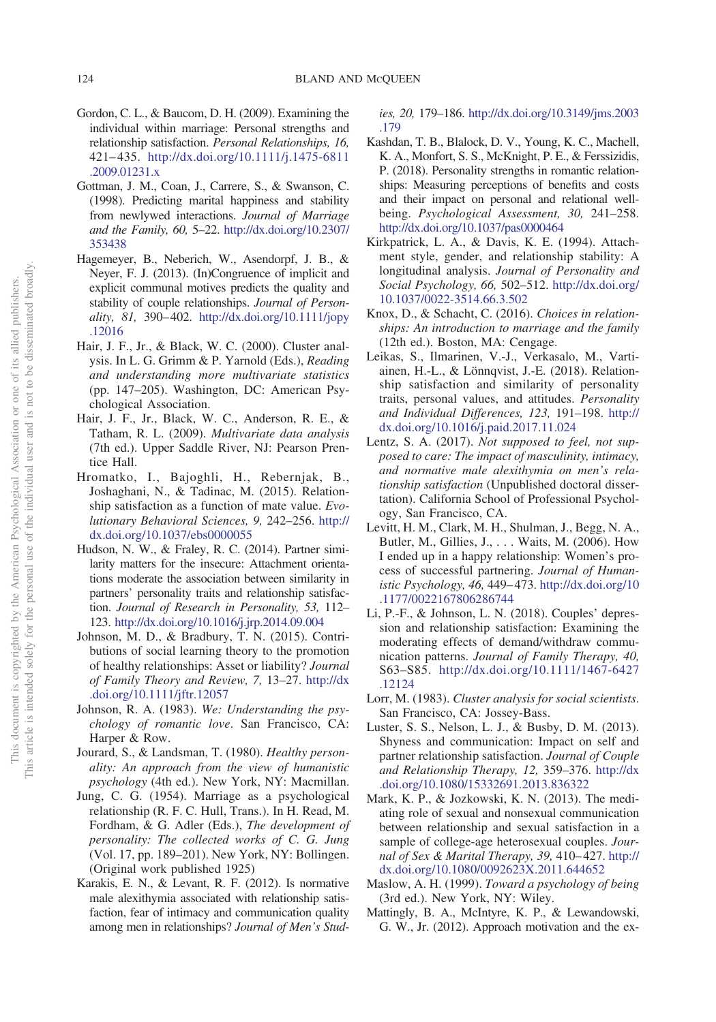- <span id="page-21-6"></span>Gordon, C. L., & Baucom, D. H. (2009). Examining the individual within marriage: Personal strengths and relationship satisfaction. *Personal Relationships, 16,* 421–435. [http://dx.doi.org/10.1111/j.1475-6811](http://dx.doi.org/10.1111/j.1475-6811.2009.01231.x) [.2009.01231.x](http://dx.doi.org/10.1111/j.1475-6811.2009.01231.x)
- <span id="page-21-17"></span>Gottman, J. M., Coan, J., Carrere, S., & Swanson, C. (1998). Predicting marital happiness and stability from newlywed interactions. *Journal of Marriage and the Family, 60,* 5–22. [http://dx.doi.org/10.2307/](http://dx.doi.org/10.2307/353438) [353438](http://dx.doi.org/10.2307/353438)
- <span id="page-21-10"></span>Hagemeyer, B., Neberich, W., Asendorpf, J. B., & Neyer, F. J. (2013). (In)Congruence of implicit and explicit communal motives predicts the quality and stability of couple relationships. *Journal of Personality, 81,* 390–402. [http://dx.doi.org/10.1111/jopy](http://dx.doi.org/10.1111/jopy.12016) [.12016](http://dx.doi.org/10.1111/jopy.12016)
- <span id="page-21-7"></span>Hair, J. F., Jr., & Black, W. C. (2000). Cluster analysis. In L. G. Grimm & P. Yarnold (Eds.), *Reading and understanding more multivariate statistics* (pp. 147–205). Washington, DC: American Psychological Association.
- <span id="page-21-8"></span>Hair, J. F., Jr., Black, W. C., Anderson, R. E., & Tatham, R. L. (2009). *Multivariate data analysis* (7th ed.). Upper Saddle River, NJ: Pearson Prentice Hall.
- <span id="page-21-22"></span>Hromatko, I., Bajoghli, H., Rebernjak, B., Joshaghani, N., & Tadinac, M. (2015). Relationship satisfaction as a function of mate value. *Evolutionary Behavioral Sciences, 9,* 242–256. [http://](http://dx.doi.org/10.1037/ebs0000055) [dx.doi.org/10.1037/ebs0000055](http://dx.doi.org/10.1037/ebs0000055)
- <span id="page-21-11"></span>Hudson, N. W., & Fraley, R. C. (2014). Partner similarity matters for the insecure: Attachment orientations moderate the association between similarity in partners' personality traits and relationship satisfaction. *Journal of Research in Personality, 53,* 112– 123. <http://dx.doi.org/10.1016/j.jrp.2014.09.004>
- <span id="page-21-18"></span>Johnson, M. D., & Bradbury, T. N. (2015). Contributions of social learning theory to the promotion of healthy relationships: Asset or liability? *Journal of Family Theory and Review, 7,* 13–27. [http://dx](http://dx.doi.org/10.1111/jftr.12057) [.doi.org/10.1111/jftr.12057](http://dx.doi.org/10.1111/jftr.12057)
- <span id="page-21-4"></span>Johnson, R. A. (1983). *We: Understanding the psychology of romantic love*. San Francisco, CA: Harper & Row.
- <span id="page-21-1"></span>Jourard, S., & Landsman, T. (1980). *Healthy personality: An approach from the view of humanistic psychology* (4th ed.). New York, NY: Macmillan.
- <span id="page-21-3"></span>Jung, C. G. (1954). Marriage as a psychological relationship (R. F. C. Hull, Trans.). In H. Read, M. Fordham, & G. Adler (Eds.), *The development of personality: The collected works of C. G. Jung* (Vol. 17, pp. 189–201). New York, NY: Bollingen. (Original work published 1925)
- <span id="page-21-15"></span>Karakis, E. N., & Levant, R. F. (2012). Is normative male alexithymia associated with relationship satisfaction, fear of intimacy and communication quality among men in relationships? *Journal of Men's Stud-*

*ies, 20,* 179–186. [http://dx.doi.org/10.3149/jms.2003](http://dx.doi.org/10.3149/jms.2003.179) [.179](http://dx.doi.org/10.3149/jms.2003.179)

- <span id="page-21-20"></span>Kashdan, T. B., Blalock, D. V., Young, K. C., Machell, K. A., Monfort, S. S., McKnight, P. E., & Ferssizidis, P. (2018). Personality strengths in romantic relationships: Measuring perceptions of benefits and costs and their impact on personal and relational wellbeing. *Psychological Assessment, 30,* 241–258. <http://dx.doi.org/10.1037/pas0000464>
- <span id="page-21-13"></span>Kirkpatrick, L. A., & Davis, K. E. (1994). Attachment style, gender, and relationship stability: A longitudinal analysis. *Journal of Personality and Social Psychology, 66,* 502–512. [http://dx.doi.org/](http://dx.doi.org/10.1037/0022-3514.66.3.502) [10.1037/0022-3514.66.3.502](http://dx.doi.org/10.1037/0022-3514.66.3.502)
- <span id="page-21-0"></span>Knox, D., & Schacht, C. (2016). *Choices in relationships: An introduction to marriage and the family* (12th ed.). Boston, MA: Cengage.
- <span id="page-21-12"></span>Leikas, S., Ilmarinen, V.-J., Verkasalo, M., Vartiainen, H.-L., & Lönnqvist, J.-E. (2018). Relationship satisfaction and similarity of personality traits, personal values, and attitudes. *Personality and Individual Differences, 123,* 191–198. [http://](http://dx.doi.org/10.1016/j.paid.2017.11.024) [dx.doi.org/10.1016/j.paid.2017.11.024](http://dx.doi.org/10.1016/j.paid.2017.11.024)
- <span id="page-21-23"></span>Lentz, S. A. (2017). *Not supposed to feel, not supposed to care: The impact of masculinity, intimacy, and normative male alexithymia on men's relationship satisfaction* (Unpublished doctoral dissertation). California School of Professional Psychology, San Francisco, CA.
- <span id="page-21-5"></span>Levitt, H. M., Clark, M. H., Shulman, J., Begg, N. A., Butler, M., Gillies, J.,... Waits, M. (2006). How I ended up in a happy relationship: Women's process of successful partnering. *Journal of Humanistic Psychology, 46,* 449–473. [http://dx.doi.org/10](http://dx.doi.org/10.1177/0022167806286744) [.1177/0022167806286744](http://dx.doi.org/10.1177/0022167806286744)
- <span id="page-21-19"></span>Li, P.-F., & Johnson, L. N. (2018). Couples' depression and relationship satisfaction: Examining the moderating effects of demand/withdraw communication patterns. *Journal of Family Therapy, 40,* S63–S85. [http://dx.doi.org/10.1111/1467-6427](http://dx.doi.org/10.1111/1467-6427.12124) [.12124](http://dx.doi.org/10.1111/1467-6427.12124)
- <span id="page-21-9"></span>Lorr, M. (1983). *Cluster analysis for social scientists*. San Francisco, CA: Jossey-Bass.
- <span id="page-21-16"></span>Luster, S. S., Nelson, L. J., & Busby, D. M. (2013). Shyness and communication: Impact on self and partner relationship satisfaction. *Journal of Couple and Relationship Therapy, 12,* 359–376. [http://dx](http://dx.doi.org/10.1080/15332691.2013.836322) [.doi.org/10.1080/15332691.2013.836322](http://dx.doi.org/10.1080/15332691.2013.836322)
- <span id="page-21-21"></span>Mark, K. P., & Jozkowski, K. N. (2013). The mediating role of sexual and nonsexual communication between relationship and sexual satisfaction in a sample of college-age heterosexual couples. *Journal of Sex & Marital Therapy, 39,* 410–427. [http://](http://dx.doi.org/10.1080/0092623X.2011.644652) [dx.doi.org/10.1080/0092623X.2011.644652](http://dx.doi.org/10.1080/0092623X.2011.644652)
- <span id="page-21-2"></span>Maslow, A. H. (1999). *Toward a psychology of being* (3rd ed.). New York, NY: Wiley.
- <span id="page-21-14"></span>Mattingly, B. A., McIntyre, K. P., & Lewandowski, G. W., Jr. (2012). Approach motivation and the ex-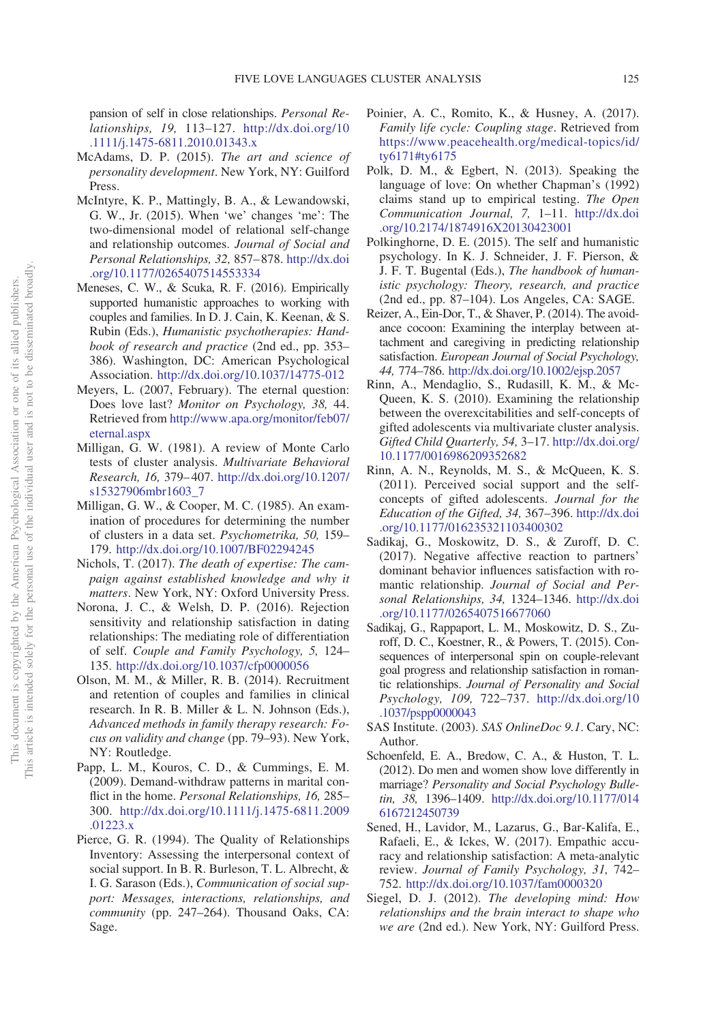pansion of self in close relationships. *Personal Relationships, 19,* 113–127. [http://dx.doi.org/10](http://dx.doi.org/10.1111/j.1475-6811.2010.01343.x) [.1111/j.1475-6811.2010.01343.x](http://dx.doi.org/10.1111/j.1475-6811.2010.01343.x)

- <span id="page-22-1"></span>McAdams, D. P. (2015). *The art and science of personality development*. New York, NY: Guilford Press.
- <span id="page-22-16"></span>McIntyre, K. P., Mattingly, B. A., & Lewandowski, G. W., Jr. (2015). When 'we' changes 'me': The two-dimensional model of relational self-change and relationship outcomes. *Journal of Social and Personal Relationships, 32,* 857–878. [http://dx.doi](http://dx.doi.org/10.1177/0265407514553334) [.org/10.1177/0265407514553334](http://dx.doi.org/10.1177/0265407514553334)
- <span id="page-22-19"></span>Meneses, C. W., & Scuka, R. F. (2016). Empirically supported humanistic approaches to working with couples and families. In D. J. Cain, K. Keenan, & S. Rubin (Eds.), *Humanistic psychotherapies: Handbook of research and practice* (2nd ed., pp. 353– 386). Washington, DC: American Psychological Association. <http://dx.doi.org/10.1037/14775-012>
- <span id="page-22-3"></span>Meyers, L. (2007, February). The eternal question: Does love last? *Monitor on Psychology, 38,* 44. Retrieved from [http://www.apa.org/monitor/feb07/](http://www.apa.org/monitor/feb07/eternal.aspx) [eternal.aspx](http://www.apa.org/monitor/feb07/eternal.aspx)
- <span id="page-22-12"></span>Milligan, G. W. (1981). A review of Monte Carlo tests of cluster analysis. *Multivariate Behavioral Research, 16,* 379–407. [http://dx.doi.org/10.1207/](http://dx.doi.org/10.1207/s15327906mbr1603_7) [s15327906mbr1603\\_7](http://dx.doi.org/10.1207/s15327906mbr1603_7)
- <span id="page-22-11"></span>Milligan, G. W., & Cooper, M. C. (1985). An examination of procedures for determining the number of clusters in a data set. *Psychometrika, 50,* 159– 179. <http://dx.doi.org/10.1007/BF02294245>
- <span id="page-22-20"></span>Nichols, T. (2017). *The death of expertise: The campaign against established knowledge and why it matters*. New York, NY: Oxford University Press.
- <span id="page-22-17"></span>Norona, J. C., & Welsh, D. P. (2016). Rejection sensitivity and relationship satisfaction in dating relationships: The mediating role of differentiation of self. *Couple and Family Psychology, 5,* 124– 135. <http://dx.doi.org/10.1037/cfp0000056>
- <span id="page-22-7"></span>Olson, M. M., & Miller, R. B. (2014). Recruitment and retention of couples and families in clinical research. In R. B. Miller & L. N. Johnson (Eds.), *Advanced methods in family therapy research: Focus on validity and change* (pp. 79–93). New York, NY: Routledge.
- <span id="page-22-0"></span>Papp, L. M., Kouros, C. D., & Cummings, E. M. (2009). Demand-withdraw patterns in marital conflict in the home. *Personal Relationships, 16,* 285– 300. [http://dx.doi.org/10.1111/j.1475-6811.2009](http://dx.doi.org/10.1111/j.1475-6811.2009.01223.x) [.01223.x](http://dx.doi.org/10.1111/j.1475-6811.2009.01223.x)
- <span id="page-22-6"></span>Pierce, G. R. (1994). The Quality of Relationships Inventory: Assessing the interpersonal context of social support. In B. R. Burleson, T. L. Albrecht, & I. G. Sarason (Eds.), *Communication of social support: Messages, interactions, relationships, and community* (pp. 247–264). Thousand Oaks, CA: Sage.
- <span id="page-22-4"></span>Poinier, A. C., Romito, K., & Husney, A. (2017). *Family life cycle: Coupling stage*. Retrieved from [https://www.peacehealth.org/medical-topics/id/](https://www.peacehealth.org/medical-topics/id/ty6171#ty6175) [ty6171#ty6175](https://www.peacehealth.org/medical-topics/id/ty6171#ty6175)
- <span id="page-22-5"></span>Polk, D. M., & Egbert, N. (2013). Speaking the language of love: On whether Chapman's (1992) claims stand up to empirical testing. *The Open Communication Journal, 7,* 1–11. [http://dx.doi](http://dx.doi.org/10.2174/1874916X20130423001) [.org/10.2174/1874916X20130423001](http://dx.doi.org/10.2174/1874916X20130423001)
- <span id="page-22-2"></span>Polkinghorne, D. E. (2015). The self and humanistic psychology. In K. J. Schneider, J. F. Pierson, & J. F. T. Bugental (Eds.), *The handbook of humanistic psychology: Theory, research, and practice* (2nd ed., pp. 87–104). Los Angeles, CA: SAGE.
- <span id="page-22-14"></span>Reizer, A., Ein-Dor, T., & Shaver, P. (2014). The avoidance cocoon: Examining the interplay between attachment and caregiving in predicting relationship satisfaction. *European Journal of Social Psychology, 44,* 774–786. <http://dx.doi.org/10.1002/ejsp.2057>
- <span id="page-22-9"></span>Rinn, A., Mendaglio, S., Rudasill, K. M., & Mc-Queen, K. S. (2010). Examining the relationship between the overexcitabilities and self-concepts of gifted adolescents via multivariate cluster analysis. *Gifted Child Quarterly, 54,* 3–17. [http://dx.doi.org/](http://dx.doi.org/10.1177/0016986209352682) [10.1177/0016986209352682](http://dx.doi.org/10.1177/0016986209352682)
- <span id="page-22-10"></span>Rinn, A. N., Reynolds, M. S., & McQueen, K. S. (2011). Perceived social support and the selfconcepts of gifted adolescents. *Journal for the Education of the Gifted, 34,* 367–396. [http://dx.doi](http://dx.doi.org/10.1177/016235321103400302) [.org/10.1177/016235321103400302](http://dx.doi.org/10.1177/016235321103400302)
- <span id="page-22-22"></span>Sadikaj, G., Moskowitz, D. S., & Zuroff, D. C. (2017). Negative affective reaction to partners' dominant behavior influences satisfaction with romantic relationship. *Journal of Social and Personal Relationships, 34,* 1324–1346. [http://dx.doi](http://dx.doi.org/10.1177/0265407516677060) [.org/10.1177/0265407516677060](http://dx.doi.org/10.1177/0265407516677060)
- <span id="page-22-21"></span>Sadikaj, G., Rappaport, L. M., Moskowitz, D. S., Zuroff, D. C., Koestner, R., & Powers, T. (2015). Consequences of interpersonal spin on couple-relevant goal progress and relationship satisfaction in romantic relationships. *Journal of Personality and Social Psychology, 109,* 722–737. [http://dx.doi.org/10](http://dx.doi.org/10.1037/pspp0000043) [.1037/pspp0000043](http://dx.doi.org/10.1037/pspp0000043)
- <span id="page-22-8"></span>SAS Institute. (2003). *SAS OnlineDoc 9.1*. Cary, NC: Author.
- <span id="page-22-13"></span>Schoenfeld, E. A., Bredow, C. A., & Huston, T. L. (2012). Do men and women show love differently in marriage? *Personality and Social Psychology Bulletin, 38,* 1396–1409. [http://dx.doi.org/10.1177/014](http://dx.doi.org/10.1177/0146167212450739) [6167212450739](http://dx.doi.org/10.1177/0146167212450739)
- <span id="page-22-15"></span>Sened, H., Lavidor, M., Lazarus, G., Bar-Kalifa, E., Rafaeli, E., & Ickes, W. (2017). Empathic accuracy and relationship satisfaction: A meta-analytic review. *Journal of Family Psychology, 31,* 742– 752. <http://dx.doi.org/10.1037/fam0000320>
- <span id="page-22-18"></span>Siegel, D. J. (2012). *The developing mind: How relationships and the brain interact to shape who we are* (2nd ed.). New York, NY: Guilford Press.